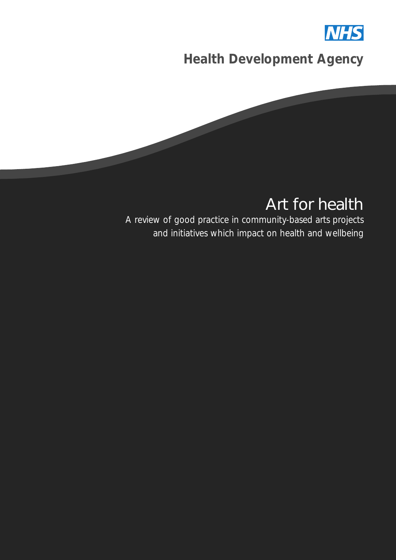

*Health Development Agency*



## Art for health

*A review of good practice in community-based arts projects and initiatives which impact on health and wellbeing*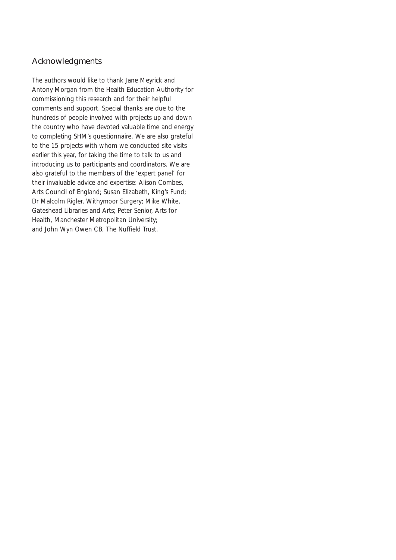#### Acknowledgments

The authors would like to thank Jane Meyrick and Antony Morgan from the Health Education Authority for commissioning this research and for their helpful comments and support. Special thanks are due to the hundreds of people involved with projects up and down the country who have devoted valuable time and energy to completing SHM's questionnaire. We are also grateful to the 15 projects with whom we conducted site visits earlier this year, for taking the time to talk to us and introducing us to participants and coordinators. We are also grateful to the members of the 'expert panel' for their invaluable advice and expertise: Alison Combes, Arts Council of England; Susan Elizabeth, King's Fund; Dr Malcolm Rigler, Withymoor Surgery; Mike White, Gateshead Libraries and Arts; Peter Senior, Arts for Health, Manchester Metropolitan University; and John Wyn Owen CB, The Nuffield Trust.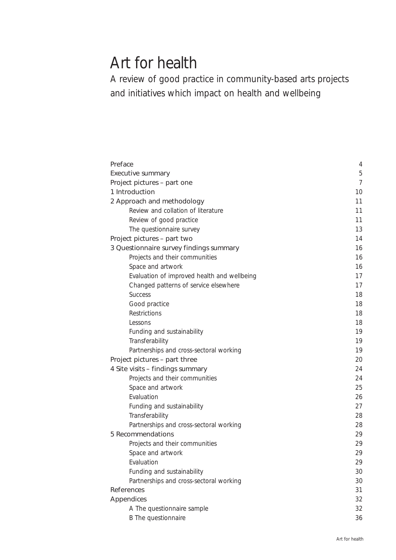## Art for health

*A review of good practice in community-based arts projects and initiatives which impact on health and wellbeing*

| Preface                                     | $\overline{4}$ |
|---------------------------------------------|----------------|
| Executive summary                           | 5              |
| Project pictures - part one                 | $\overline{7}$ |
| 1 Introduction                              | 10             |
| 2 Approach and methodology                  | 11             |
| Review and collation of literature          | 11             |
| Review of good practice                     | 11             |
| The questionnaire survey                    | 13             |
| Project pictures - part two                 | 14             |
| 3 Questionnaire survey findings summary     | 16             |
| Projects and their communities              | 16             |
| Space and artwork                           | 16             |
| Evaluation of improved health and wellbeing | 17             |
| Changed patterns of service elsewhere       | 17             |
| <b>Success</b>                              | 18             |
| Good practice                               | 18             |
| Restrictions                                | 18             |
| Lessons                                     | 18             |
| Funding and sustainability                  | 19             |
| Transferability                             | 19             |
| Partnerships and cross-sectoral working     | 19             |
| Project pictures - part three               | 20             |
| 4 Site visits - findings summary            | 24             |
| Projects and their communities              | 24             |
| Space and artwork                           | 25             |
| Evaluation                                  | 26             |
| Funding and sustainability                  | 27             |
| Transferability                             | 28             |
| Partnerships and cross-sectoral working     | 28             |
| 5 Recommendations                           | 29             |
| Projects and their communities              | 29             |
| Space and artwork                           | 29             |
| Evaluation                                  | 29             |
| Funding and sustainability                  | 30             |
| Partnerships and cross-sectoral working     | 30             |
| References                                  | 31             |
| Appendices                                  | 32             |
| A The questionnaire sample                  | 32             |
| B The questionnaire                         | 36             |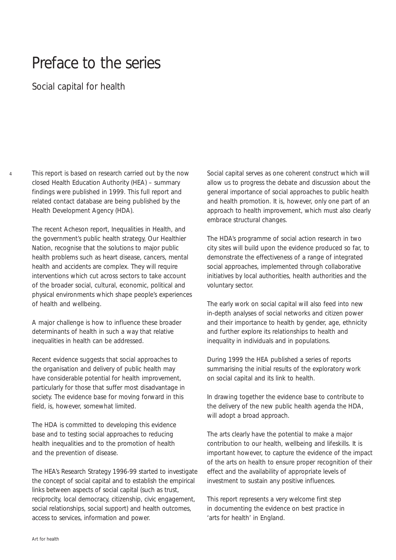## Preface to the series

*Social capital for health*

4

This report is based on research carried out by the now closed Health Education Authority (HEA) – summary findings were published in 1999. This full report and related contact database are being published by the Health Development Agency (HDA).

The recent Acheson report, *Inequalities in Health*, and the government's public health strategy, *Our Healthier Nation*, recognise that the solutions to major public health problems such as heart disease, cancers, mental health and accidents are complex. They will require interventions which cut across sectors to take account of the broader social, cultural, economic, political and physical environments which shape people's experiences of health and wellbeing.

A major challenge is how to influence these broader determinants of health in such a way that relative inequalities in health can be addressed.

Recent evidence suggests that social approaches to the organisation and delivery of public health may have considerable potential for health improvement, particularly for those that suffer most disadvantage in society. The evidence base for moving forward in this field, is, however, somewhat limited.

The HDA is committed to developing this evidence base and to testing social approaches to reducing health inequalities and to the promotion of health and the prevention of disease.

The HEA's Research Strategy 1996-99 started to investigate the concept of social capital and to establish the empirical links between aspects of social capital (such as trust, reciprocity, local democracy, citizenship, civic engagement, social relationships, social support) and health outcomes, access to services, information and power.

Social capital serves as one coherent construct which will allow us to progress the debate and discussion about the general importance of social approaches to public health and health promotion. It is, however, only one part of an approach to health improvement, which must also clearly embrace structural changes.

The HDA's programme of social action research in two city sites will build upon the evidence produced so far, to demonstrate the effectiveness of a range of integrated social approaches, implemented through collaborative initiatives by local authorities, health authorities and the voluntary sector.

The early work on social capital will also feed into new in-depth analyses of social networks and citizen power and their importance to health by gender, age, ethnicity and further explore its relationships to health and inequality in individuals and in populations.

During 1999 the HEA published a series of reports summarising the initial results of the exploratory work on social capital and its link to health.

In drawing together the evidence base to contribute to the delivery of the new public health agenda the HDA, will adopt a broad approach.

The arts clearly have the potential to make a major contribution to our health, wellbeing and lifeskills. It is important however, to capture the evidence of the impact of the arts on health to ensure proper recognition of their effect and the availability of appropriate levels of investment to sustain any positive influences.

This report represents a very welcome first step in documenting the evidence on best practice in 'arts for health' in England.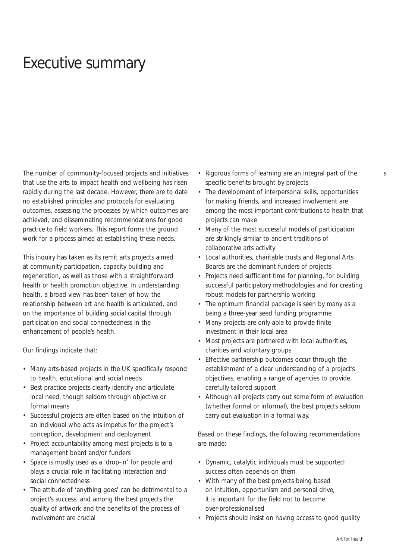## Executive summary

The number of community-focused projects and initiatives that use the arts to impact health and wellbeing has risen rapidly during the last decade. However, there are to date no established principles and protocols for evaluating outcomes, assessing the processes by which outcomes are achieved, and disseminating recommendations for good practice to field workers. This report forms the ground work for a process aimed at establishing these needs.

This inquiry has taken as its remit arts projects aimed at community participation, capacity building and regeneration, as well as those with a straightforward health or health promotion objective. In understanding health, a broad view has been taken of how the relationship between art and health is articulated, and on the importance of building social capital through participation and social connectedness in the enhancement of people's health.

Our findings indicate that:

- Many arts-based projects in the UK specifically respond to health, educational and social needs
- Best practice projects clearly identify and articulate local need, though seldom through objective or formal means
- Successful projects are often based on the intuition of an individual who acts as impetus for the project's conception, development and deployment
- Project accountability among most projects is to a management board and/or funders
- Space is mostly used as a 'drop-in' for people and plays a crucial role in facilitating interaction and social connectedness
- The attitude of 'anything goes' can be detrimental to a project's success, and among the best projects the quality of artwork and the benefits of the process of involvement are crucial
- Rigorous forms of learning are an integral part of the specific benefits brought by projects
- The development of interpersonal skills, opportunities for making friends, and increased involvement are among the most important contributions to health that projects can make
- Many of the most successful models of participation are strikingly similar to ancient traditions of collaborative arts activity
- Local authorities, charitable trusts and Regional Arts Boards are the dominant funders of projects
- Projects need sufficient time for planning, for building successful participatory methodologies and for creating robust models for partnership working
- The optimum financial package is seen by many as a being a three-year seed funding programme
- Many projects are only able to provide finite investment in their local area
- Most projects are partnered with local authorities, charities and voluntary groups
- Effective partnership outcomes occur through the establishment of a clear understanding of a project's objectives, enabling a range of agencies to provide carefully tailored support
- Although all projects carry out some form of evaluation (whether formal or informal), the best projects seldom carry out evaluation in a formal way.

Based on these findings, the following recommendations are made:

- Dynamic, catalytic individuals must be supported: success often depends on them
- With many of the best projects being based on intuition, opportunism and personal drive, it is important for the field not to become over-professionalised
- Projects should insist on having access to good quality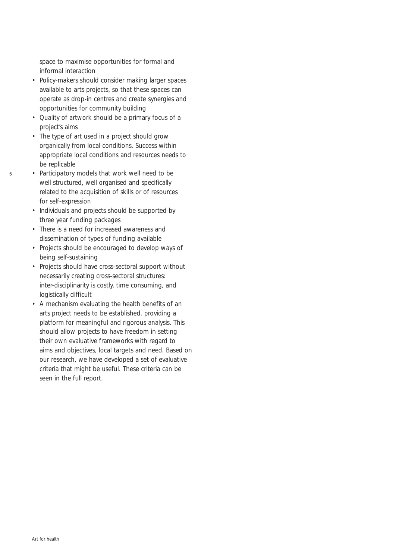space to maximise opportunities for formal and informal interaction

- Policy-makers should consider making larger spaces available to arts projects, so that these spaces can operate as drop-in centres and create synergies and opportunities for community building
- Quality of artwork should be a primary focus of a project's aims
- The type of art used in a project should grow organically from local conditions. Success within appropriate local conditions and resources needs to be replicable
- Participatory models that work well need to be well structured, well organised and specifically related to the acquisition of skills or of resources for self-expression
- Individuals and projects should be supported by three year funding packages
- There is a need for increased awareness and dissemination of types of funding available
- Projects should be encouraged to develop ways of being self-sustaining
- Projects should have cross-sectoral support without necessarily creating cross-sectoral structures: inter-disciplinarity is costly, time consuming, and logistically difficult
- A mechanism evaluating the health benefits of an arts project needs to be established, providing a platform for meaningful and rigorous analysis. This should allow projects to have freedom in setting their own evaluative frameworks with regard to aims and objectives, local targets and need. Based on our research, we have developed a set of evaluative criteria that might be useful. These criteria can be seen in the full report.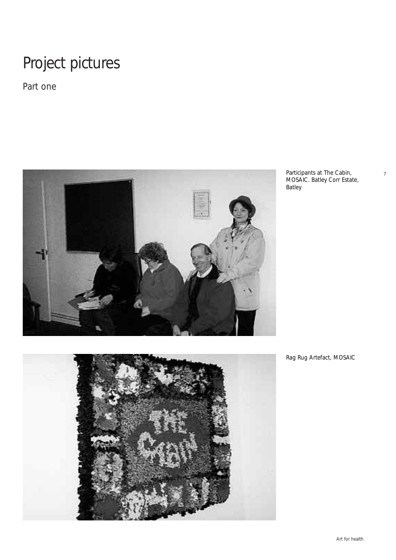# Project pictures

*Part one*



Participants at The Cabin, MOSAIC. Batley Corr Estate, Batley





Art for health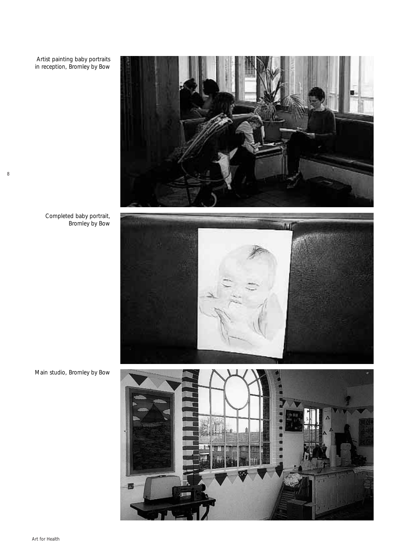Artist painting baby portraits in reception, Bromley by Bow

Completed baby portrait,

Bromley by Bow

8



Main studio, Bromley by Bow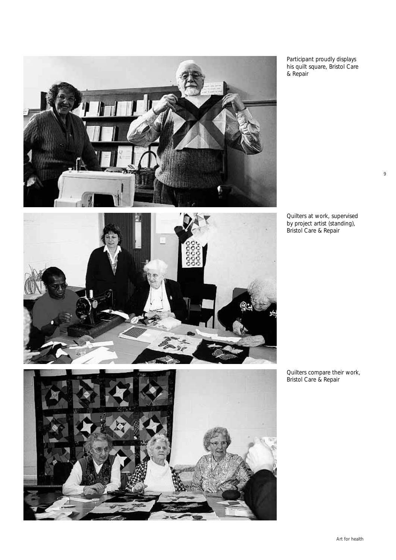



Participant proudly displays his quilt square, Bristol Care & Repair

Quilters at work, supervised by project artist (standing), Bristol Care & Repair

Quilters compare their work, Bristol Care & Repair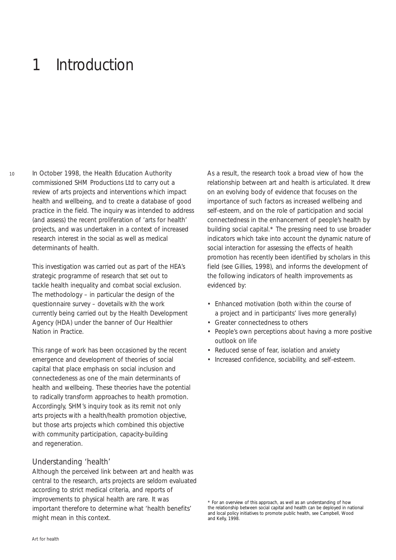## 1 Introduction

 $10$ 

In October 1998, the Health Education Authority commissioned SHM Productions Ltd to carry out a review of arts projects and interventions which impact health and wellbeing, and to create a database of good practice in the field. The inquiry was intended to address (and assess) the recent proliferation of 'arts for health' projects, and was undertaken in a context of increased research interest in the social as well as medical determinants of health.

This investigation was carried out as part of the HEA's strategic programme of research that set out to tackle health inequality and combat social exclusion. The methodology – in particular the design of the questionnaire survey – dovetails with the work currently being carried out by the Health Development Agency (HDA) under the banner of Our Healthier Nation in Practice.

This range of work has been occasioned by the recent emergence and development of theories of social capital that place emphasis on social inclusion and connectedeness as one of the main determinants of health and wellbeing. These theories have the potential to radically transform approaches to health promotion. Accordingly, SHM's inquiry took as its remit not only arts projects with a health/health promotion objective, but those arts projects which combined this objective with community participation, capacity-building and regeneration.

### *Understanding 'health'*

Although the perceived link between art and health was central to the research, arts projects are seldom evaluated according to strict medical criteria, and reports of improvements to physical health are rare. It was important therefore to determine what 'health benefits' might mean in this context.

As a result, the research took a broad view of how the relationship between art and health is articulated. It drew on an evolving body of evidence that focuses on the importance of such factors as increased wellbeing and self-esteem, and on the role of participation and social connectedness in the enhancement of people's health by building social capital.\* The pressing need to use broader indicators which take into account the dynamic nature of social interaction for assessing the effects of health promotion has recently been identified by scholars in this field (see Gillies, 1998), and informs the development of the following indicators of health improvements as evidenced by:

- Enhanced motivation (both within the course of a project and in participants' lives more generally)
- Greater connectedness to others
- People's own perceptions about having a more positive outlook on life
- Reduced sense of fear, isolation and anxiety
- Increased confidence, sociability, and self-esteem.

<sup>\*</sup> For an overview of this approach, as well as an understanding of how the relationship between social capital and health can be deployed in national and local policy initiatives to promote public health, see Campbell, Wood and Kelly, 1998.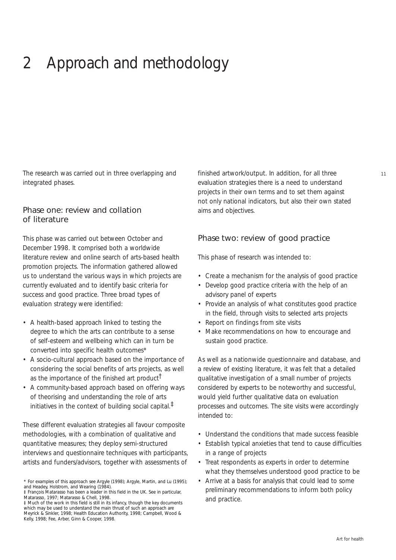## 2 Approach and methodology

The research was carried out in three overlapping and integrated phases.

#### Phase one: review and collation of literature

This phase was carried out between October and December 1998. It comprised both a worldwide literature review and online search of arts-based health promotion projects. The information gathered allowed us to understand the various ways in which projects are currently evaluated and to identify basic criteria for success and good practice. Three broad types of evaluation strategy were identified:

- A health-based approach linked to testing the degree to which the arts can contribute to a sense of self-esteem and wellbeing which can in turn be converted into specific health outcomes\*
- A socio-cultural approach based on the importance of considering the social benefits of arts projects, as well as the importance of the finished art product  $\mathsf{L}$
- A community-based approach based on offering ways of theorising and understanding the role of arts initiatives in the context of building social capital.<sup> $\ddagger$ </sup>

These different evaluation strategies all favour composite methodologies, with a combination of qualitative and quantitative measures; they deploy semi-structured interviews and questionnaire techniques with participants, artists and funders/advisors, together with assessments of

finished artwork/output. In addition, for all three evaluation strategies there is a need to understand projects in their own terms and to set them against not only national indicators, but also their own stated aims and objectives.

#### Phase two: review of good practice

This phase of research was intended to:

- Create a mechanism for the analysis of good practice
- Develop good practice criteria with the help of an advisory panel of experts
- Provide an analysis of what constitutes good practice in the field, through visits to selected arts projects
- Report on findings from site visits
- Make recommendations on how to encourage and sustain good practice.

As well as a nationwide questionnaire and database, and a review of existing literature, it was felt that a detailed qualitative investigation of a small number of projects considered by experts to be noteworthy and successful, would yield further qualitative data on evaluation processes and outcomes. The site visits were accordingly intended to:

- Understand the conditions that made success feasible
- Establish typical anxieties that tend to cause difficulties in a range of projects
- Treat respondents as experts in order to determine what they themselves understood good practice to be
- Arrive at a basis for analysis that could lead to some preliminary recommendations to inform both policy and practice.

<sup>\*</sup> For examples of this approach see Argyle (1998); Argyle, Martin, and Lu (1995); and Headey, Holstrom, and Wearing (1984).

<sup>‡</sup> François Matarasso has been a leader in this field in the UK. See in particular, Matarasso, 1997; Matarasso & Chell, 1998.

<sup>‡</sup> Much of the work in this field is still in its infancy, though the key documents which may be used to understand the main thrust of such an approach are Meyrick & Sinkler, 1998; Health Education Authority, 1998; Campbell, Wood & Kelly, 1998; Fee, Arber, Ginn & Cooper, 1998.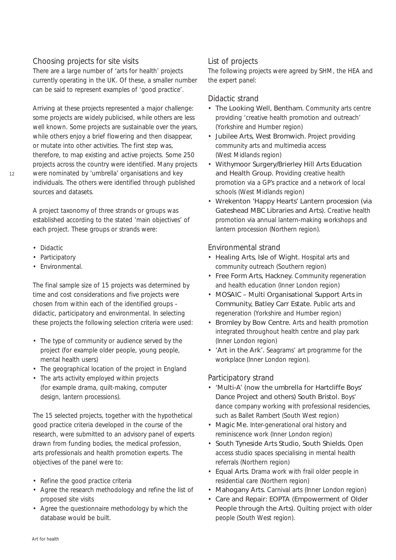#### *Choosing projects for site visits*

There are a large number of 'arts for health' projects currently operating in the UK. Of these, a smaller number can be said to represent examples of 'good practice'.

Arriving at these projects represented a major challenge: some projects are widely publicised, while others are less well known. Some projects are sustainable over the years, while others enjoy a brief flowering and then disappear, or mutate into other activities. The first step was, therefore, to map existing and active projects. Some 250 projects across the country were identified. Many projects were nominated by 'umbrella' organisations and key individuals. The others were identified through published sources and datasets.

A project taxonomy of three strands or groups was established according to the stated 'main objectives' of each project. These groups or strands were:

- Didactic
- Participatory
- Environmental.

The final sample size of 15 projects was determined by time and cost considerations and five projects were chosen from within each of the identified groups – didactic, participatory and environmental. In selecting these projects the following selection criteria were used:

- The type of community or audience served by the project (for example older people, young people, mental health users)
- The geographical location of the project in England
- The arts activity employed within projects (for example drama, quilt-making, computer design, lantern processions).

The 15 selected projects, together with the hypothetical good practice criteria developed in the course of the research, were submitted to an advisory panel of experts drawn from funding bodies, the medical profession, arts professionals and health promotion experts. The objectives of the panel were to:

- Refine the good practice criteria
- Agree the research methodology and refine the list of proposed site visits
- Agree the questionnaire methodology by which the database would be built.

#### *List of projects*

The following projects were agreed by SHM, the HEA and the expert panel:

#### *Didactic strand*

- The Looking Well, Bentham. Community arts centre providing 'creative health promotion and outreach' (Yorkshire and Humber region)
- Jubilee Arts, West Bromwich. Project providing community arts and multimedia access (West Midlands region)
- Withymoor Surgery/Brierley Hill Arts Education and Health Group. Providing creative health promotion via a GP's practice and a network of local schools (West Midlands region)
- Wrekenton 'Happy Hearts' Lantern procession (via Gateshead MBC Libraries and Arts). Creative health promotion via annual lantern-making workshops and lantern procession (Northern region).

#### *Environmental strand*

- Healing Arts, Isle of Wight. Hospital arts and community outreach (Southern region)
- Free Form Arts, Hackney. Community regeneration and health education (Inner London region)
- MOSAIC Multi Organisational Support Arts in Community, Batley Carr Estate. Public arts and regeneration (Yorkshire and Humber region)
- Bromley by Bow Centre. Arts and health promotion integrated throughout health centre and play park (Inner London region)
- 'Art in the Ark'. Seagrams' art programme for the workplace (Inner London region).

#### *Participatory strand*

- 'Multi-A' (now the umbrella for Hartcliffe Boys' Dance Project and others) South Bristol. Boys' dance company working with professional residencies, such as Ballet Rambert (South West region)
- Magic Me. Inter-generational oral history and reminiscence work (Inner London region)
- South Tyneside Arts Studio, South Shields. Open access studio spaces specialising in mental health referrals (Northern region)
- Equal Arts. Drama work with frail older people in residential care (Northern region)
- Mahogany Arts. Carnival arts (Inner London region)
- Care and Repair: EOPTA (Empowerment of Older People through the Arts). Quilting project with older people (South West region).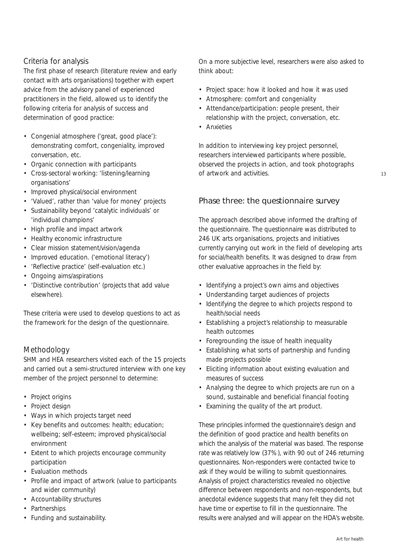#### *Criteria for analysis*

The first phase of research (literature review and early contact with arts organisations) together with expert advice from the advisory panel of experienced practitioners in the field, allowed us to identify the following criteria for analysis of success and determination of good practice:

- Congenial atmosphere ('great, good place'): demonstrating comfort, congeniality, improved conversation, etc.
- Organic connection with participants
- Cross-sectoral working: 'listening/learning organisations'
- Improved physical/social environment
- 'Valued', rather than 'value for money' projects
- Sustainability beyond 'catalytic individuals' or 'individual champions'
- High profile and impact artwork
- Healthy economic infrastructure
- Clear mission statement/vision/agenda
- Improved education. ('emotional literacy')
- 'Reflective practice' (self-evaluation etc.)
- Ongoing aims/aspirations
- 'Distinctive contribution' (projects that add value elsewhere).

These criteria were used to develop questions to act as the framework for the design of the questionnaire.

### *Methodology*

SHM and HEA researchers visited each of the 15 projects and carried out a semi-structured interview with one key member of the project personnel to determine:

- Project origins
- Project design
- Ways in which projects target need
- Key benefits and outcomes: health; education; wellbeing; self-esteem; improved physical/social environment
- Extent to which projects encourage community participation
- Evaluation methods
- Profile and impact of artwork (value to participants and wider community)
- Accountability structures
- Partnerships
- Funding and sustainability.

On a more subjective level, researchers were also asked to think about:

- Project space: how it looked and how it was used
- Atmosphere: comfort and congeniality
- Attendance/participation: people present, their relationship with the project, conversation, etc.
- Anxieties

In addition to interviewing key project personnel, researchers interviewed participants where possible, observed the projects in action, and took photographs of artwork and activities.

### Phase three: the questionnaire survey

The approach described above informed the drafting of the questionnaire. The questionnaire was distributed to 246 UK arts organisations, projects and initiatives currently carrying out work in the field of developing arts for social/health benefits. It was designed to draw from other evaluative approaches in the field by:

- Identifying a project's own aims and objectives
- Understanding target audiences of projects
- Identifying the degree to which projects respond to health/social needs
- Establishing a project's relationship to measurable health outcomes
- Foregrounding the issue of health inequality
- Establishing what sorts of partnership and funding made projects possible
- Eliciting information about existing evaluation and measures of success
- Analysing the degree to which projects are run on a sound, sustainable and beneficial financial footing
- Examining the quality of the art product.

These principles informed the questionnaire's design and the definition of good practice and health benefits on which the analysis of the material was based. The response rate was relatively low (37%), with 90 out of 246 returning questionnaires. Non-responders were contacted twice to ask if they would be willing to submit questionnaires. Analysis of project characteristics revealed no objective difference between respondents and non-respondents, but anecdotal evidence suggests that many felt they did not have time or expertise to fill in the questionnaire. The results were analysed and will appear on the HDA's website.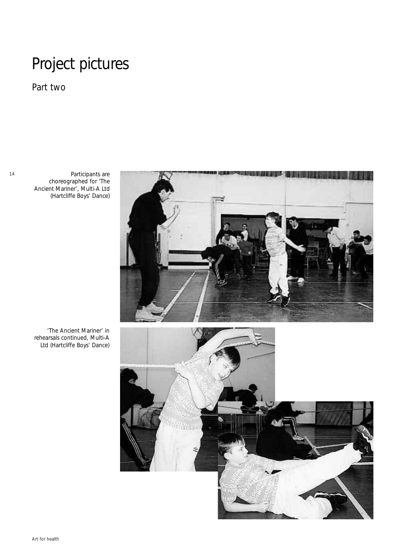## Project pictures

*Part two*

Participants are choreographed for 'The Ancient Mariner', Multi-A Ltd (Hartcliffe Boys' Dance)



'The Ancient Mariner' in rehearsals continued, Multi-A Ltd (Hartcliffe Boys' Dance)

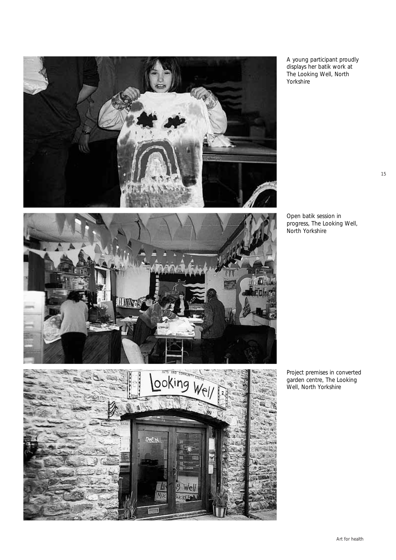

A young participant proudly displays her batik work at The Looking Well, North Yorkshire

Open batik session in progress, The Looking Well, North Yorkshire

Project premises in converted garden centre, The Looking Well, North Yorkshire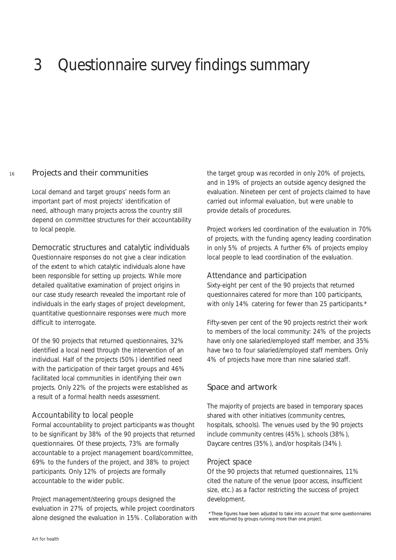## 3 Questionnaire survey findings summary

#### 16 Projects and their communities

Local demand and target groups' needs form an important part of most projects' identification of need, although many projects across the country still depend on committee structures for their accountability to local people.

*Democratic structures and catalytic individuals*

Questionnaire responses do not give a clear indication of the extent to which catalytic individuals alone have been responsible for setting up projects. While more detailed qualitative examination of project origins in our case study research revealed the important role of individuals in the early stages of project development, quantitative questionnaire responses were much more difficult to interrogate.

Of the 90 projects that returned questionnaires, 32% identified a local need through the intervention of an individual. Half of the projects (50%) identified need with the participation of their target groups and 46% facilitated local communities in identifying their own projects. Only 22% of the projects were established as a result of a formal health needs assessment.

#### *Accountability to local people*

Formal accountability to project participants was thought to be significant by 38% of the 90 projects that returned questionnaires. Of these projects, 73% are formally accountable to a project management board/committee, 69% to the funders of the project, and 38% to project participants. Only 12% of projects are formally accountable to the wider public.

Project management/steering groups designed the evaluation in 27% of projects, while project coordinators alone designed the evaluation in 15%. Collaboration with the target group was recorded in only 20% of projects, and in 19% of projects an outside agency designed the evaluation. Nineteen per cent of projects claimed to have carried out informal evaluation, but were unable to provide details of procedures.

Project workers led coordination of the evaluation in 70% of projects, with the funding agency leading coordination in only 5% of projects. A further 6% of projects employ local people to lead coordination of the evaluation.

#### *Attendance and participation*

Sixty-eight per cent of the 90 projects that returned questionnaires catered for more than 100 participants, with only 14% catering for fewer than 25 participants.\*

Fifty-seven per cent of the 90 projects restrict their work to members of the local community: 24% of the projects have only one salaried/employed staff member, and 35% have two to four salaried/employed staff members. Only 4% of projects have more than nine salaried staff.

## Space and artwork

The majority of projects are based in temporary spaces shared with other initiatives (community centres, hospitals, schools). The venues used by the 90 projects include community centres (45%), schools (38%), Daycare centres (35%), and/or hospitals (34%).

#### *Project space*

Of the 90 projects that returned questionnaires, 11% cited the nature of the venue (poor access, insufficient size, etc.) as a factor restricting the success of project development.

\*These figures have been adjusted to take into account that some questionnaires were returned by groups running more than one project.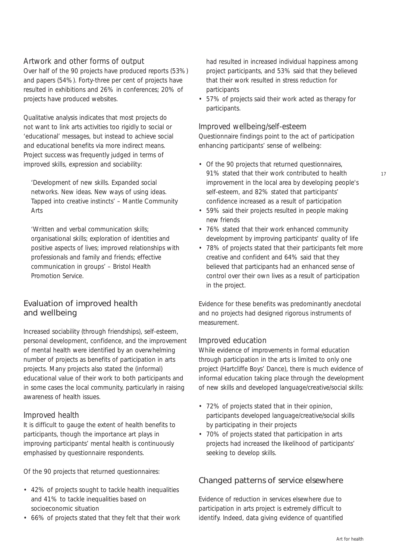#### *Artwork and other forms of output*

Over half of the 90 projects have produced reports (53%) and papers (54%). Forty-three per cent of projects have resulted in exhibitions and 26% in conferences; 20% of projects have produced websites.

Qualitative analysis indicates that most projects do not want to link arts activities too rigidly to social or 'educational' messages, but instead to achieve social and educational benefits via more indirect means. Project success was frequently judged in terms of improved skills, expression and sociability:

*'Development of new skills. Expanded social networks. New ideas. New ways of using ideas. Tapped into creative instincts'* – Mantle Community Arts

*'Written and verbal communication skills; organisational skills; exploration of identities and positive aspects of lives; improved relationships with professionals and family and friends; effective communication in groups'* – Bristol Health Promotion Service.

### Evaluation of improved health and wellbeing

Increased sociability (through friendships), self-esteem, personal development, confidence, and the improvement of mental health were identified by an overwhelming number of projects as benefits of participation in arts projects. Many projects also stated the (informal) educational value of their work to both participants and in some cases the local community, particularly in raising awareness of health issues.

### *Improved health*

It is difficult to gauge the extent of health benefits to participants, though the importance art plays in improving participants' mental health is continuously emphasised by questionnaire respondents.

Of the 90 projects that returned questionnaires:

- 42% of projects sought to tackle health inequalities and 41% to tackle inequalities based on socioeconomic situation
- 66% of projects stated that they felt that their work

had resulted in increased individual happiness among project participants, and 53% said that they believed that their work resulted in stress reduction for participants

• 57% of projects said their work acted as therapy for participants.

#### *Improved wellbeing/self-esteem*

Questionnaire findings point to the act of participation enhancing participants' sense of wellbeing:

- Of the 90 projects that returned questionnaires, 91% stated that their work contributed to health improvement in the local area by developing people's self-esteem, and 82% stated that participants' confidence increased as a result of participation
- 59% said their projects resulted in people making new friends
- 76% stated that their work enhanced community development by improving participants' quality of life
- 78% of projects stated that their participants felt more creative and confident and 64% said that they believed that participants had an enhanced sense of control over their own lives as a result of participation in the project.

Evidence for these benefits was predominantly anecdotal and no projects had designed rigorous instruments of measurement.

#### *Improved education*

While evidence of improvements in formal education through participation in the arts is limited to only one project (Hartcliffe Boys' Dance), there is much evidence of informal education taking place through the development of new skills and developed language/creative/social skills:

- 72% of projects stated that in their opinion, participants developed language/creative/social skills by participating in their projects
- 70% of projects stated that participation in arts projects had increased the likelihood of participants' seeking to develop skills.

## Changed patterns of service elsewhere

Evidence of reduction in services elsewhere due to participation in arts project is extremely difficult to identify. Indeed, data giving evidence of quantified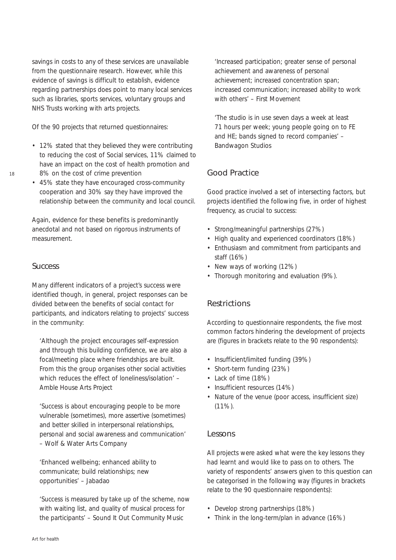savings in costs to any of these services are unavailable from the questionnaire research. However, while this evidence of savings is difficult to establish, evidence regarding partnerships does point to many local services such as libraries, sports services, voluntary groups and NHS Trusts working with arts projects.

Of the 90 projects that returned questionnaires:

- 12% stated that they believed they were contributing to reducing the cost of Social services, 11% claimed to have an impact on the cost of health promotion and 8% on the cost of crime prevention
- 45% state they have encouraged cross-community cooperation and 30% say they have improved the relationship between the community and local council.

Again, evidence for these benefits is predominantly anecdotal and not based on rigorous instruments of measurement.

#### **Success**

Many different indicators of a project's success were identified though, in general, project responses can be divided between the benefits of social contact for participants, and indicators relating to projects' success in the community:

*'Although the project encourages self-expression and through this building confidence, we are also a focal/meeting place where friendships are built. From this the group organises other social activities which reduces the effect of loneliness/isolation'* – Amble House Arts Project

*'Success is about encouraging people to be more vulnerable (sometimes), more assertive (sometimes) and better skilled in interpersonal relationships, personal and social awareness and communication'* – Wolf & Water Arts Company

*'Enhanced wellbeing; enhanced ability to communicate; build relationships; new opportunities'* – Jabadao

*'Success is measured by take up of the scheme, now with waiting list, and quality of musical process for the participants'* – Sound It Out Community Music

*'Increased participation; greater sense of personal achievement and awareness of personal achievement; increased concentration span; increased communication; increased ability to work with others'* – First Movement

*'The studio is in use seven days a week at least 71 hours per week; young people going on to FE and HE; bands signed to record companies'* – Bandwagon Studios

## Good Practice

Good practice involved a set of intersecting factors, but projects identified the following five, in order of highest frequency, as crucial to success:

- Strong/meaningful partnerships (27%)
- High quality and experienced coordinators (18%)
- Enthusiasm and commitment from participants and staff (16%)
- New ways of working (12%)
- Thorough monitoring and evaluation (9%).

## **Restrictions**

According to questionnaire respondents, the five most common factors hindering the development of projects are (figures in brackets relate to the 90 respondents):

- Insufficient/limited funding (39%)
- Short-term funding (23%)
- Lack of time (18%)
- Insufficient resources (14%)
- Nature of the venue (poor access, insufficient size) (11%).

### Lessons

All projects were asked what were the key lessons they had learnt and would like to pass on to others. The variety of respondents' answers given to this question can be categorised in the following way (figures in brackets relate to the 90 questionnaire respondents):

- Develop strong partnerships (18%)
- Think in the long-term/plan in advance (16%)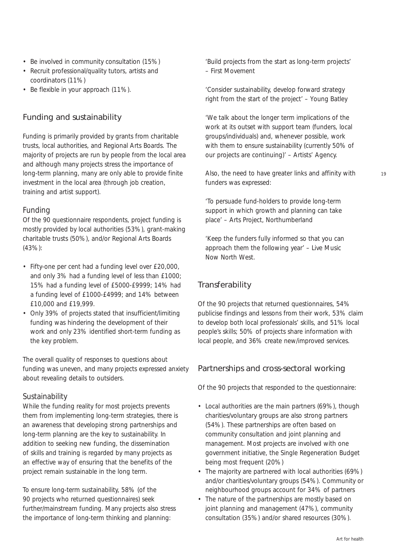- Be involved in community consultation (15%)
- Recruit professional/quality tutors, artists and coordinators (11%)
- Be flexible in your approach (11%).

## Funding and sustainability

Funding is primarily provided by grants from charitable trusts, local authorities, and Regional Arts Boards. The majority of projects are run by people from the local area and although many projects stress the importance of long-term planning, many are only able to provide finite investment in the local area (through job creation, training and artist support).

### *Funding*

Of the 90 questionnaire respondents, project funding is mostly provided by local authorities (53%), grant-making charitable trusts (50%), and/or Regional Arts Boards (43%):

- Fifty-one per cent had a funding level over £20,000, and only 3% had a funding level of less than £1000; 15% had a funding level of £5000-£9999; 14% had a funding level of £1000-£4999; and 14% between £10,000 and £19,999.
- Only 39% of projects stated that insufficient/limiting funding was hindering the development of their work and only 23% identified short-term funding as the key problem.

The overall quality of responses to questions about funding was uneven, and many projects expressed anxiety about revealing details to outsiders.

### *Sustainability*

While the funding reality for most projects prevents them from implementing long-term strategies, there is an awareness that developing strong partnerships and long-term planning are the key to sustainability. In addition to seeking new funding, the dissemination of skills and training is regarded by many projects as an effective way of ensuring that the benefits of the project remain sustainable in the long term.

To ensure long-term sustainability, 58% (of the 90 projects who returned questionnaires) seek further/mainstream funding. Many projects also stress the importance of long-term thinking and planning:

*'Build projects from the start as long-term projects' – First Movement* 

*'Consider sustainability, develop forward strategy right from the start of the project'* – Young Batley

*'We talk about the longer term implications of the work at its outset with support team (funders, local groups/individuals) and, whenever possible, work with them to ensure sustainability (currently 50% of our projects are continuing)'* – Artists' Agency.

Also, the need to have greater links and affinity with funders was expressed:

*'To persuade fund-holders to provide long-term support in which growth and planning can take place'* – Arts Project, Northumberland

'*Keep the funders fully informed so that you can approach them the following year' –* Live Music Now North West.

## **Transferability**

Of the 90 projects that returned questionnaires, 54% publicise findings and lessons from their work, 53% claim to develop both local professionals' skills, and 51% local people's skills; 50% of projects share information with local people, and 36% create new/improved services.

## Partnerships and cross-sectoral working

Of the 90 projects that responded to the questionnaire:

- Local authorities are the main partners (69%), though charities/voluntary groups are also strong partners (54%). These partnerships are often based on community consultation and joint planning and management. Most projects are involved with one government initiative, the Single Regeneration Budget being most frequent (20%)
- The majority are partnered with local authorities (69%) and/or charities/voluntary groups (54%). Community or neighbourhood groups account for 34% of partners
- The nature of the partnerships are mostly based on joint planning and management (47%), community consultation (35%) and/or shared resources (30%).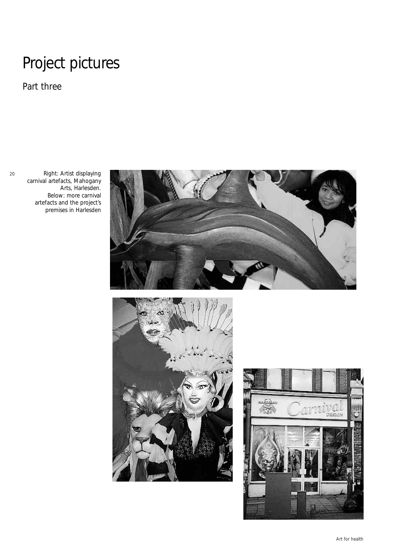## Project pictures

*Part three*

20

Right: Artist displaying carnival artefacts, Mahogany Arts, Harlesden. Below: more carnival artefacts and the project's premises in Harlesden





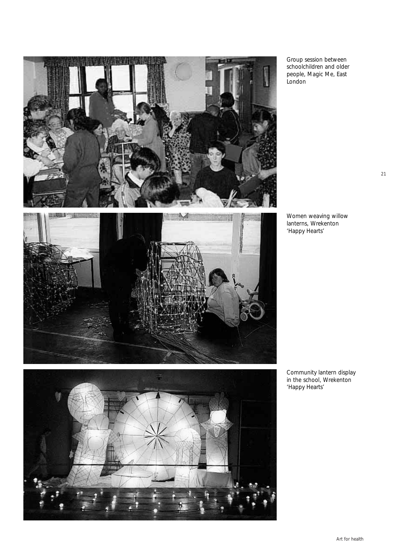

Group session between schoolchildren and older people, Magic Me, East London

Women weaving willow lanterns, Wrekenton 'Happy Hearts'





Community lantern display in the school, Wrekenton 'Happy Hearts'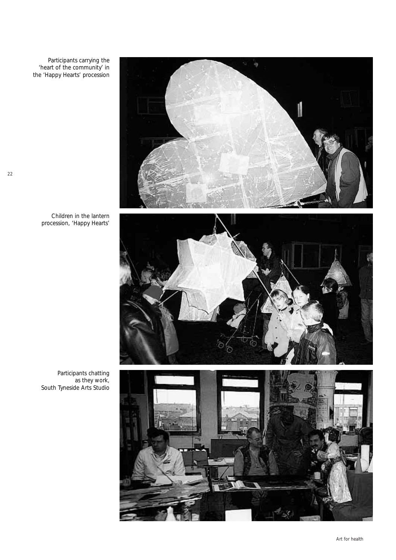Participants carrying the 'heart of the community' in the 'Happy Hearts' procession



Children in the lantern procession, 'Happy Hearts'





Participants chatting as they work, South Tyneside Arts Studio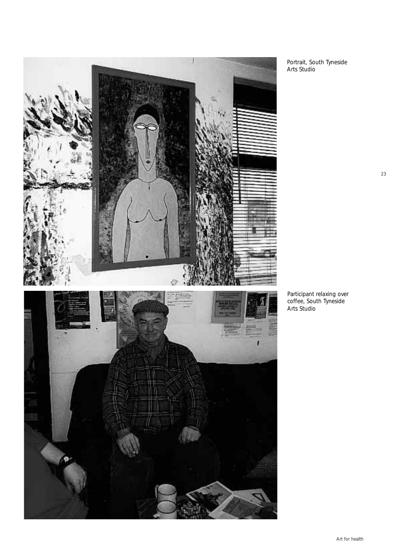

Portrait, South Tyneside Arts Studio

Participant relaxing over coffee, South Tyneside Arts Studio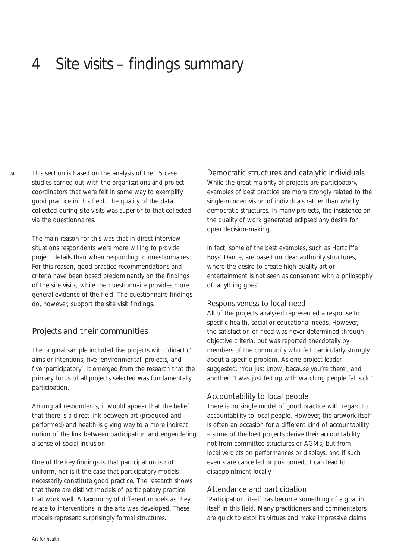## 4 Site visits – findings summary

This section is based on the analysis of the 15 case studies carried out with the organisations and project coordinators that were felt in some way to exemplify good practice in this field. The quality of the data collected during site visits was superior to that collected via the questionnaires.

The main reason for this was that in direct interview situations respondents were more willing to provide project details than when responding to questionnaires. For this reason, good practice recommendations and criteria have been based predominantly on the findings of the site visits, while the questionnaire provides more general evidence of the field. The questionnaire findings do, however, support the site visit findings.

### Projects and their communities

The original sample included five projects with 'didactic' aims or intentions; five 'environmental' projects, and five 'participatory'. It emerged from the research that the primary focus of all projects selected was fundamentally participation.

Among all respondents, it would appear that the belief that there is a direct link between art (produced and performed) and health is giving way to a more indirect notion of the link between participation and engendering a sense of social inclusion.

One of the key findings is that participation is not uniform, nor is it the case that participatory models necessarily constitute good practice. The research shows that there are distinct models of participatory practice that work well. A taxonomy of different models as they relate to interventions in the arts was developed. These models represent surprisingly formal structures.

*Democratic structures and catalytic individuals* While the great majority of projects are participatory, examples of best practice are more strongly related to the single-minded vision of individuals rather than wholly democratic structures. In many projects, the insistence on the quality of work generated eclipsed any desire for open decision-making.

In fact, some of the best examples, such as Hartcliffe Boys' Dance, are based on clear authority structures, where the desire to create high quality art or entertainment is not seen as consonant with a philosophy of 'anything goes'.

#### *Responsiveness to local need*

All of the projects analysed represented a response to specific health, social or educational needs. However, the satisfaction of need was never determined through objective criteria, but was reported anecdotally by members of the community who felt particularly strongly about a specific problem. As one project leader suggested: 'You just know, because you're there'; and another: 'I was just fed up with watching people fall sick.'

#### *Accountability to local people*

There is no single model of good practice with regard to accountability to local people. However, the artwork itself is often an occasion for a different kind of accountability – some of the best projects derive their accountability not from committee structures or AGMs, but from local verdicts on performances or displays, and if such events are cancelled or postponed, it can lead to disappointment locally.

### *Attendance and participation*

'Participation' itself has become something of a goal in itself in this field. Many practitioners and commentators are quick to extol its virtues and make impressive claims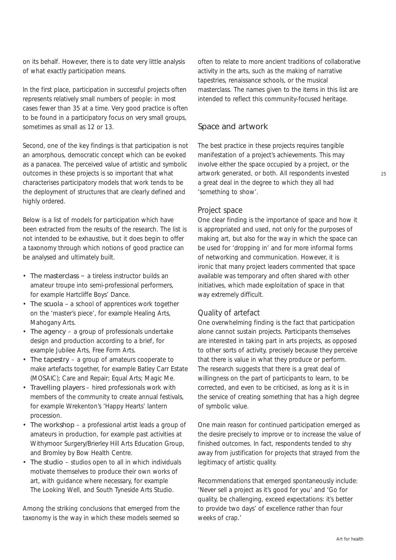on its behalf. However, there is to date very little analysis of what exactly participation means.

In the first place, participation in successful projects often represents relatively small numbers of people: in most cases fewer than 35 at a time. Very good practice is often to be found in a participatory focus on very small groups, sometimes as small as 12 or 13.

Second, one of the key findings is that participation is not an amorphous, democratic concept which can be evoked as a panacea. The perceived value of artistic and symbolic outcomes in these projects is so important that what characterises participatory models that work tends to be the deployment of structures that are clearly defined and highly ordered.

Below is a list of models for participation which have been extracted from the results of the research. The list is not intended to be exhaustive, but it does begin to offer a taxonomy through which notions of good practice can be analysed and ultimately built.

- The masterclass a tireless instructor builds an amateur troupe into semi-professional performers, for example Hartcliffe Boys' Dance.
- The scuola a school of apprentices work together on the 'master's piece', for example Healing Arts, Mahogany Arts.
- The agency *–* a group of professionals undertake design and production according to a brief, for example Jubilee Arts, Free Form Arts.
- The tapestry *–* a group of amateurs cooperate to make artefacts together, for example Batley Carr Estate (MOSAIC); Care and Repair; Equal Arts; Magic Me.
- Travelling players *–* hired professionals work with members of the community to create annual festivals, for example Wrekenton's 'Happy Hearts' lantern procession.
- The workshop *–* a professional artist leads a group of amateurs in production, for example past activities at Withymoor Surgery/Brierley Hill Arts Education Group, and Bromley by Bow Health Centre.
- The studio studios open to all in which individuals motivate themselves to produce their own works of art, with guidance where necessary, for example The Looking Well, and South Tyneside Arts Studio.

Among the striking conclusions that emerged from the taxonomy is the way in which these models seemed so

often to relate to more ancient traditions of collaborative activity in the arts, such as the making of narrative tapestries, renaissance schools, or the musical masterclass. The names given to the items in this list are intended to reflect this community-focused heritage.

#### Space and artwork

The best practice in these projects requires tangible manifestation of a project's achievements. This may involve either the space occupied by a project, or the artwork generated, or both. All respondents invested a great deal in the degree to which they all had 'something to show'.

#### *Project space*

One clear finding is the importance of space and how it is appropriated and used, not only for the purposes of making art, but also for the way in which the space can be used for 'dropping in' and for more informal forms of networking and communication. However, it is ironic that many project leaders commented that space available was temporary and often shared with other initiatives, which made exploitation of space in that way extremely difficult.

#### *Quality of artefact*

One overwhelming finding is the fact that participation alone cannot sustain projects. Participants themselves are interested in taking part in arts projects, as opposed to other sorts of activity, precisely because they perceive that there is value in what they produce or perform. The research suggests that there is a great deal of willingness on the part of participants to learn, to be corrected, and even to be criticised, as long as it is in the service of creating something that has a high degree of symbolic value.

One main reason for continued participation emerged as the desire precisely to improve or to increase the value of finished outcomes. In fact, respondents tended to shy away from justification for projects that strayed from the legitimacy of artistic quality.

Recommendations that emerged spontaneously include: 'Never sell a project as it's good for you' and 'Go for quality, be challenging, exceed expectations: it's better to provide two days' of excellence rather than four weeks of crap.'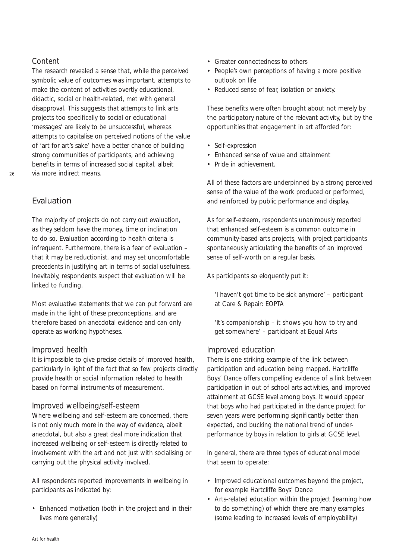#### *Content*

The research revealed a sense that, while the perceived symbolic value of outcomes was important, attempts to make the content of activities overtly educational, didactic, social or health-related, met with general disapproval. This suggests that attempts to link arts projects too specifically to social or educational 'messages' are likely to be unsuccessful, whereas attempts to capitalise on perceived notions of the value of 'art for art's sake' have a better chance of building strong communities of participants, and achieving benefits in terms of increased social capital, albeit via more indirect means.

## Evaluation

The majority of projects do not carry out evaluation, as they seldom have the money, time or inclination to do so. Evaluation according to health criteria is infrequent. Furthermore, there is a fear of evaluation – that it may be reductionist, and may set uncomfortable precedents in justifying art in terms of social usefulness. Inevitably, respondents suspect that evaluation will be linked to funding.

Most evaluative statements that we can put forward are made in the light of these preconceptions, and are therefore based on anecdotal evidence and can only operate as working hypotheses.

#### *Improved health*

It is impossible to give precise details of improved health, particularly in light of the fact that so few projects directly provide health or social information related to health based on formal instruments of measurement.

#### *Improved wellbeing/self-esteem*

Where wellbeing and self-esteem are concerned, there is not only much more in the way of evidence, albeit anecdotal, but also a great deal more indication that increased wellbeing or self-esteem is directly related to involvement with the art and not just with socialising or carrying out the physical activity involved.

All respondents reported improvements in wellbeing in participants as indicated by:

• Enhanced motivation (both in the project and in their lives more generally)

- Greater connectedness to others
- People's own perceptions of having a more positive outlook on life
- Reduced sense of fear, isolation or anxiety.

These benefits were often brought about not merely by the participatory nature of the relevant activity, but by the opportunities that engagement in art afforded for:

- Self-expression
- Enhanced sense of value and attainment
- Pride in achievement.

All of these factors are underpinned by a strong perceived sense of the value of the work produced or performed, and reinforced by public performance and display.

As for self-esteem, respondents unanimously reported that enhanced self-esteem is a common outcome in community-based arts projects, with project participants spontaneously articulating the benefits of an improved sense of self-worth on a regular basis.

As participants so eloquently put it:

*'I haven't got time to be sick anymore'* – participant at Care & Repair: EOPTA

*'It's companionship – it shows you how to try and get somewhere'* – participant at Equal Arts

#### *Improved education*

There is one striking example of the link between participation and education being mapped. Hartcliffe Boys' Dance offers compelling evidence of a link between participation in out of school arts activities, and improved attainment at GCSE level among boys. It would appear that boys who had participated in the dance project for seven years were performing significantly better than expected, and bucking the national trend of underperformance by boys in relation to girls at GCSE level.

In general, there are three types of educational model that seem to operate:

- Improved educational outcomes beyond the project, for example Hartcliffe Boys' Dance
- Arts-related education within the project (learning how to do something) of which there are many examples (some leading to increased levels of employability)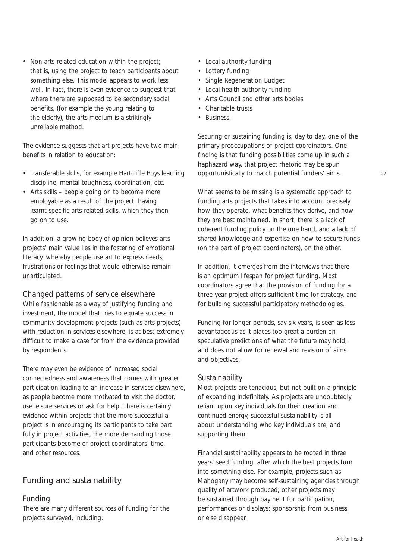• Non arts-related education within the project; that is, using the project to teach participants about something else. This model appears to work less well. In fact, there is even evidence to suggest that where there are supposed to be secondary social benefits, (for example the young relating to the elderly), the arts medium is a strikingly unreliable method.

The evidence suggests that art projects have two main benefits in relation to education:

- Transferable skills, for example Hartcliffe Boys learning discipline, mental toughness, coordination, etc.
- Arts skills people going on to become more employable as a result of the project, having learnt specific arts-related skills, which they then go on to use.

In addition, a growing body of opinion believes arts projects' main value lies in the fostering of emotional literacy, whereby people use art to express needs, frustrations or feelings that would otherwise remain unarticulated.

### *Changed patterns of service elsewhere*

While fashionable as a way of justifying funding and investment, the model that tries to equate success in community development projects (such as arts projects) with reduction in services elsewhere, is at best extremely difficult to make a case for from the evidence provided by respondents.

There may even be evidence of increased social connectedness and awareness that comes with greater participation leading to an increase in services elsewhere, as people become more motivated to visit the doctor, use leisure services or ask for help. There is certainly evidence within projects that the more successful a project is in encouraging its participants to take part fully in project activities, the more demanding those participants become of project coordinators' time, and other resources.

## Funding and sustainability

#### *Funding*

There are many different sources of funding for the projects surveyed, including:

- Local authority funding
- Lottery funding
- Single Regeneration Budget
- Local health authority funding
- Arts Council and other arts bodies
- Charitable trusts
- Business.

Securing or sustaining funding is, day to day, one of the primary preoccupations of project coordinators. One finding is that funding possibilities come up in such a haphazard way, that project rhetoric may be spun opportunistically to match potential funders' aims.

What seems to be missing is a systematic approach to funding arts projects that takes into account precisely how they operate, what benefits they derive, and how they are best maintained. In short, there is a lack of coherent funding policy on the one hand, and a lack of shared knowledge and expertise on how to secure funds (on the part of project coordinators), on the other.

In addition, it emerges from the interviews that there is an optimum lifespan for project funding. Most coordinators agree that the provision of funding for a three-year project offers sufficient time for strategy, and for building successful participatory methodologies.

Funding for longer periods, say six years, is seen as less advantageous as it places too great a burden on speculative predictions of what the future may hold, and does not allow for renewal and revision of aims and objectives.

### *Sustainability*

Most projects are tenacious, but not built on a principle of expanding indefinitely. As projects are undoubtedly reliant upon key individuals for their creation and continued energy, successful sustainability is all about understanding who key individuals are, and supporting them.

Financial sustainability appears to be rooted in three years' seed funding, after which the best projects turn into something else. For example, projects such as Mahogany may become self-sustaining agencies through quality of artwork produced; other projects may be sustained through payment for participation, performances or displays; sponsorship from business, or else disappear.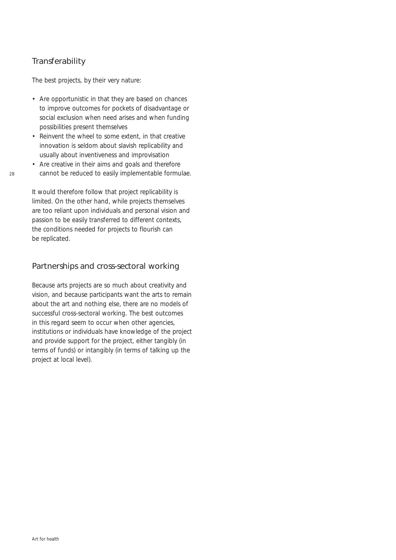## **Transferability**

The best projects, by their very nature:

- Are opportunistic in that they are based on chances to improve outcomes for pockets of disadvantage or social exclusion when need arises and when funding possibilities present themselves
- Reinvent the wheel to some extent, in that creative innovation is seldom about slavish replicability and usually about inventiveness and improvisation
- Are creative in their aims and goals and therefore cannot be reduced to easily implementable formulae.

It would therefore follow that project replicability is limited. On the other hand, while projects themselves are too reliant upon individuals and personal vision and passion to be easily transferred to different contexts, the conditions needed for projects to flourish can be replicated.

### Partnerships and cross-sectoral working

Because arts projects are so much about creativity and vision, and because participants want the arts to remain about the art and nothing else, there are no models of successful cross-sectoral working. The best outcomes in this regard seem to occur when other agencies, institutions or individuals have knowledge of the project and provide support for the project, either tangibly (in terms of funds) or intangibly (in terms of talking up the project at local level).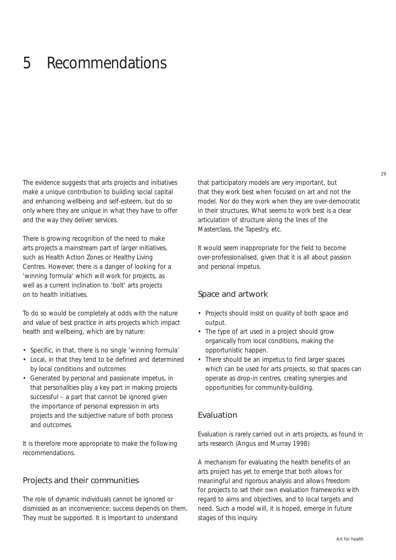## 5 Recommendations

The evidence suggests that arts projects and initiatives make a unique contribution to building social capital and enhancing wellbeing and self-esteem, but do so only where they are unique in what they have to offer and the way they deliver services.

There is growing recognition of the need to make arts projects a mainstream part of larger initiatives, such as Health Action Zones or Healthy Living Centres. However, there is a danger of looking for a 'winning formula' which will work for projects, as well as a current inclination to 'bolt' arts projects on to health initiatives.

To do so would be completely at odds with the nature and value of best practice in arts projects which impact health and wellbeing, which are by nature:

- Specific, in that, there is no single 'winning formula'
- Local, in that they tend to be defined and determined by local conditions and outcomes
- Generated by personal and passionate impetus, in that personalities play a key part in making projects successful – a part that cannot be ignored given the importance of personal expression in arts projects and the subjective nature of both process and outcomes.

It is therefore more appropriate to make the following recommendations.

### Projects and their communities

The role of dynamic individuals cannot be ignored or dismissed as an inconvenience: success depends on them. They must be supported. It is important to understand

that participatory models are very important, but that they work best when focused on art and not the model. Nor do they work when they are over-democratic in their structures. What seems to work best is a clear articulation of structure along the lines of the Masterclass, the Tapestry, etc.

It would seem inappropriate for the field to become over-professionalised, given that it is all about passion and personal impetus.

### Space and artwork

- Projects should insist on quality of both space and output.
- The type of art used in a project should grow organically from local conditions, making the opportunistic happen.
- There should be an impetus to find larger spaces which can be used for arts projects, so that spaces can operate as drop-in centres, creating synergies and opportunities for community-building.

#### Evaluation

Evaluation is rarely carried out in arts projects, as found in arts research (Angus and Murray 1998)

A mechanism for evaluating the health benefits of an arts project has yet to emerge that both allows for meaningful and rigorous analysis and allows freedom for projects to set their own evaluation frameworks with regard to aims and objectives, and to local targets and need. Such a model will, it is hoped, emerge in future stages of this inquiry.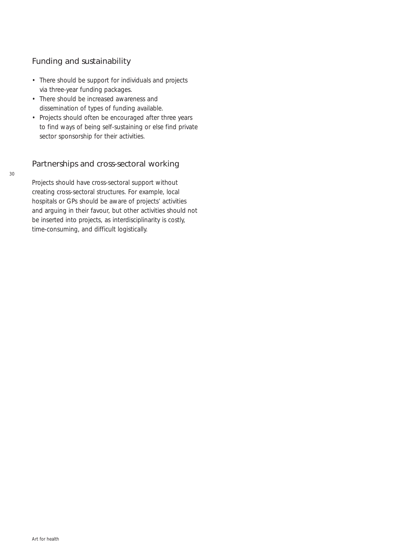## Funding and sustainability

- There should be support for individuals and projects via three-year funding packages.
- There should be increased awareness and dissemination of types of funding available.
- Projects should often be encouraged after three years to find ways of being self-sustaining or else find private sector sponsorship for their activities.

## Partnerships and cross-sectoral working

Projects should have cross-sectoral support without creating cross-sectoral structures. For example, local hospitals or GPs should be aware of projects' activities and arguing in their favour, but other activities should not be inserted into projects, as interdisciplinarity is costly, time-consuming, and difficult logistically.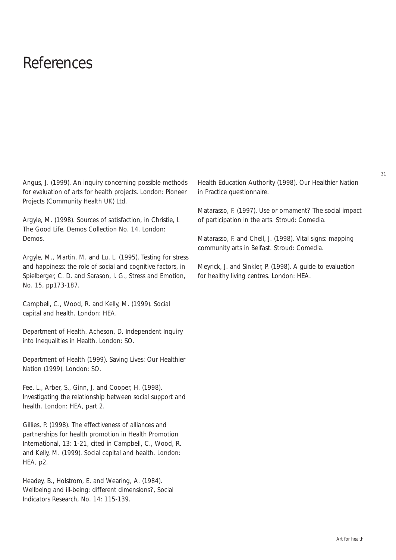## References

Angus, J. (1999). *An inquiry concerning possible methods for evaluation of arts for health projects*. London: Pioneer Projects (Community Health UK) Ltd.

Argyle, M. (1998). Sources of satisfaction, in Christie, I. *The Good Life*. Demos Collection No. 14. London: Demos.

Argyle, M., Martin, M. and Lu, L. (1995). Testing for stress and happiness: the role of social and cognitive factors, in Spielberger, C. D. and Sarason, I. G., *Stress and Emotion*, No. 15, pp173-187.

Campbell, C., Wood, R. and Kelly, M. (1999). *Social capital and health*. London: HEA.

Department of Health. Acheson, D. *Independent Inquiry into Inequalities in Health*. London: SO.

Department of Health (1999). *Saving Lives: Our Healthier Nation* (1999). London: SO.

Fee, L., Arber, S., Ginn, J. and Cooper, H. (1998). *Investigating the relationship between social support and health*. London: HEA, part 2.

Gillies, P. (1998). The effectiveness of alliances and partnerships for health promotion in *Health Promotion International*, 13: 1-21, cited in Campbell, C., Wood, R. and Kelly, M. (1999). *Social capital and health*. London: HEA, p2.

Headey, B., Holstrom, E. and Wearing, A. (1984). Wellbeing and ill-being: different dimensions?, *Social Indicators Research*, No. 14: 115-139.

Health Education Authority (1998). *Our Healthier Nation in Practice* questionnaire.

Matarasso, F. (1997). *Use or ornament? The social impact of participation in the arts.* Stroud: Comedia.

Matarasso, F. and Chell, J. (1998). *Vital signs: mapping community arts in Belfast.* Stroud: Comedia.

Meyrick, J. and Sinkler, P. (1998). *A guide to evaluation for healthy living centres.* London: HEA.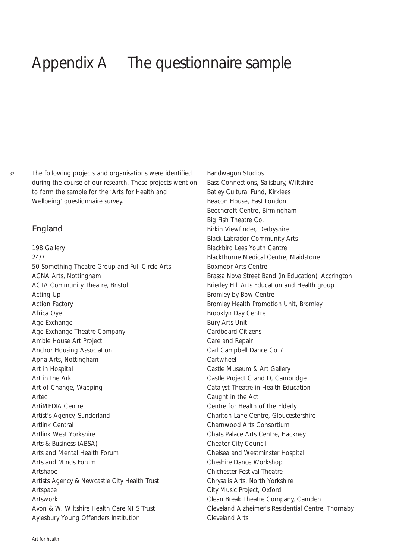## Appendix A The questionnaire sample

The following projects and organisations were identified during the course of our research. These projects went on to form the sample for the 'Arts for Health and Wellbeing' questionnaire survey.

#### England

198 Gallery 24/7 50 Something Theatre Group and Full Circle Arts ACNA Arts, Nottingham ACTA Community Theatre, Bristol Acting Up Action Factory Africa Oye Age Exchange Age Exchange Theatre Company Amble House Art Project Anchor Housing Association Apna Arts, Nottingham Art in Hospital Art in the Ark Art of Change, Wapping Artec ArtiMEDIA Centre Artist's Agency, Sunderland Artlink Central Artlink West Yorkshire Arts & Business (ABSA) Arts and Mental Health Forum Arts and Minds Forum Artshape Artists Agency & Newcastle City Health Trust Artspace Artswork Avon & W. Wiltshire Health Care NHS Trust Aylesbury Young Offenders Institution

Bandwagon Studios Bass Connections, Salisbury, Wiltshire Batley Cultural Fund, Kirklees Beacon House, East London Beechcroft Centre, Birmingham Big Fish Theatre Co. Birkin Viewfinder, Derbyshire Black Labrador Community Arts Blackbird Lees Youth Centre Blackthorne Medical Centre, Maidstone Boxmoor Arts Centre Brassa Nova Street Band (in Education), Accrington Brierley Hill Arts Education and Health group Bromley by Bow Centre Bromley Health Promotion Unit, Bromley Brooklyn Day Centre Bury Arts Unit Cardboard Citizens Care and Repair Carl Campbell Dance Co 7 Cartwheel Castle Museum & Art Gallery Castle Project C and D, Cambridge Catalyst Theatre in Health Education Caught in the Act Centre for Health of the Elderly Charlton Lane Centre, Gloucestershire Charnwood Arts Consortium Chats Palace Arts Centre, Hackney Cheater City Council Chelsea and Westminster Hospital Cheshire Dance Workshop Chichester Festival Theatre Chrysalis Arts, North Yorkshire City Music Project, Oxford Clean Break Theatre Company, Camden Cleveland Alzheimer's Residential Centre, Thornaby Cleveland Arts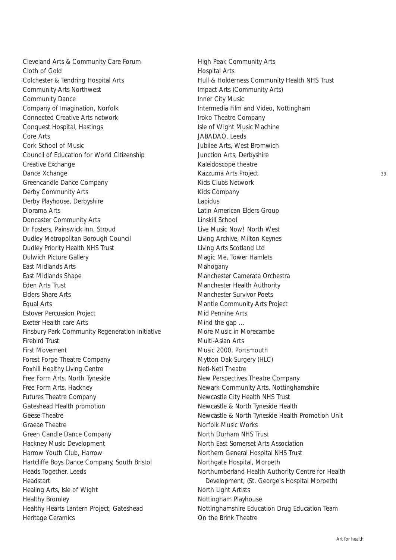Cleveland Arts & Community Care Forum Cloth of Gold Colchester & Tendring Hospital Arts Community Arts Northwest Community Dance Company of Imagination, Norfolk Connected Creative Arts network Conquest Hospital, Hastings Core Arts Cork School of Music Council of Education for World Citizenship Creative Exchange Dance Xchange Greencandle Dance Company Derby Community Arts Derby Playhouse, Derbyshire Diorama Arts Doncaster Community Arts Dr Fosters, Painswick Inn, Stroud Dudley Metropolitan Borough Council Dudley Priority Health NHS Trust Dulwich Picture Gallery East Midlands Arts East Midlands Shape Eden Arts Trust Elders Share Arts Equal Arts Estover Percussion Project Exeter Health care Arts Finsbury Park Community Regeneration Initiative Firebird Trust First Movement Forest Forge Theatre Company Foxhill Healthy Living Centre Free Form Arts, North Tyneside Free Form Arts, Hackney Futures Theatre Company Gateshead Health promotion Geese Theatre Graeae Theatre Green Candle Dance Company Hackney Music Development Harrow Youth Club, Harrow Hartcliffe Boys Dance Company, South Bristol Heads Together, Leeds Headstart Healing Arts, Isle of Wight Healthy Bromley Healthy Hearts Lantern Project, Gateshead Heritage Ceramics

High Peak Community Arts Hospital Arts Hull & Holderness Community Health NHS Trust Impact Arts (Community Arts) Inner City Music Intermedia Film and Video, Nottingham Iroko Theatre Company Isle of Wight Music Machine JABADAO, Leeds Jubilee Arts, West Bromwich Junction Arts, Derbyshire Kaleidoscope theatre Kazzuma Arts Project Kids Clubs Network Kids Company Lapidus Latin American Elders Group Linskill School Live Music Now! North West Living Archive, Milton Keynes Living Arts Scotland Ltd Magic Me, Tower Hamlets Mahogany Manchester Camerata Orchestra Manchester Health Authority Manchester Survivor Poets Mantle Community Arts Project Mid Pennine Arts Mind the gap … More Music in Morecambe Multi-Asian Arts Music 2000, Portsmouth Mytton Oak Surgery (HLC) Neti-Neti Theatre New Perspectives Theatre Company Newark Community Arts, Nottinghamshire Newcastle City Health NHS Trust Newcastle & North Tyneside Health Newcastle & North Tyneside Health Promotion Unit Norfolk Music Works North Durham NHS Trust North East Somerset Arts Association Northern General Hospital NHS Trust Northgate Hospital, Morpeth Northumberland Health Authority Centre for Health Development, (St. George's Hospital Morpeth) North Light Artists Nottingham Playhouse Nottinghamshire Education Drug Education Team On the Brink Theatre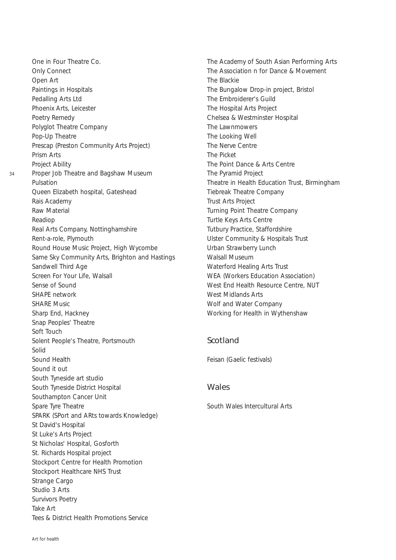One in Four Theatre Co. Only Connect Open Art Paintings in Hospitals Pedalling Arts Ltd Phoenix Arts, Leicester Poetry Remedy Polyglot Theatre Company Pop-Up Theatre Prescap (Preston Community Arts Project) Prism Arts Project Ability Proper Job Theatre and Bagshaw Museum Pulsation Queen Elizabeth hospital, Gateshead Rais Academy Raw Material Readiop Real Arts Company, Nottinghamshire Rent-a-role, Plymouth Round House Music Project, High Wycombe Same Sky Community Arts, Brighton and Hastings Sandwell Third Age Screen For Your Life, Walsall Sense of Sound SHAPE network SHARE Music Sharp End, Hackney Snap Peoples' Theatre Soft Touch Solent People's Theatre, Portsmouth Solid Sound Health Sound it out South Tyneside art studio South Tyneside District Hospital Southampton Cancer Unit Spare Tyre Theatre SPARK (SPort and ARts towards Knowledge) St David's Hospital St Luke's Arts Project St Nicholas' Hospital, Gosforth St. Richards Hospital project Stockport Centre for Health Promotion Stockport Healthcare NHS Trust Strange Cargo Studio 3 Arts Survivors Poetry Take Art Tees & District Health Promotions Service

The Academy of South Asian Performing Arts The Association n for Dance & Movement The Blackie The Bungalow Drop-in project, Bristol The Embroiderer's Guild The Hospital Arts Project Chelsea & Westminster Hospital The Lawnmowers The Looking Well The Nerve Centre The Picket The Point Dance & Arts Centre The Pyramid Project Theatre in Health Education Trust, Birmingham Tiebreak Theatre Company Trust Arts Project Turning Point Theatre Company Turtle Keys Arts Centre Tutbury Practice, Staffordshire Ulster Community & Hospitals Trust Urban Strawberry Lunch Walsall Museum Waterford Healing Arts Trust WEA (Workers Education Association) West End Health Resource Centre, NUT West Midlands Arts Wolf and Water Company Working for Health in Wythenshaw

### Scotland

Feisan (Gaelic festivals)

#### **Wales**

South Wales Intercultural Arts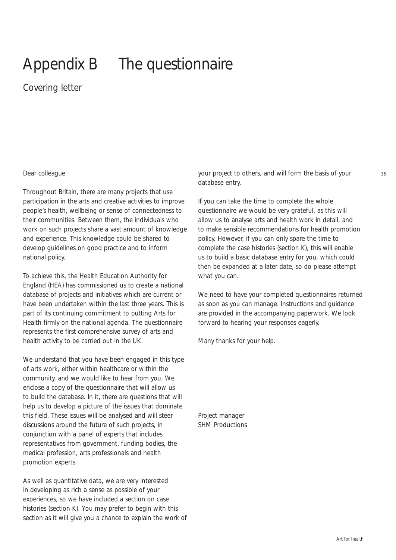# Appendix B The questionnaire

## *Covering letter*

#### Dear colleague

Throughout Britain, there are many projects that use participation in the arts and creative activities to improve people's health, wellbeing or sense of connectedness to their communities. Between them, the individuals who work on such projects share a vast amount of knowledge and experience. This knowledge could be shared to develop guidelines on good practice and to inform national policy.

To achieve this, the Health Education Authority for England (HEA) has commissioned us to create a national database of projects and initiatives which are current or have been undertaken within the last three years. This is part of its continuing commitment to putting Arts for Health firmly on the national agenda. The questionnaire represents the first comprehensive survey of arts and health activity to be carried out in the UK.

We understand that you have been engaged in this type of arts work, either within healthcare or within the community, and we would like to hear from you. We enclose a copy of the questionnaire that will allow us to build the database. In it, there are questions that will help us to develop a picture of the issues that dominate this field. These issues will be analysed and will steer discussions around the future of such projects, in conjunction with a panel of experts that includes representatives from government, funding bodies, the medical profession, arts professionals and health promotion experts.

As well as quantitative data, we are very interested in developing as rich a sense as possible of your experiences, so we have included a section on case histories (section K). You may prefer to begin with this section as it will give you a chance to explain the work of your project to others, and will form the basis of your database entry.

If you can take the time to complete the whole questionnaire we would be very grateful, as this will allow us to analyse arts and health work in detail, and to make sensible recommendations for health promotion policy. However, if you can only spare the time to complete the case histories (section K), this will enable us to build a basic database entry for you, which could then be expanded at a later date, so do please attempt what you can.

We need to have your completed questionnaires returned as soon as you can manage. Instructions and guidance are provided in the accompanying paperwork. We look forward to hearing your responses eagerly.

Many thanks for your help.

Project manager SHM Productions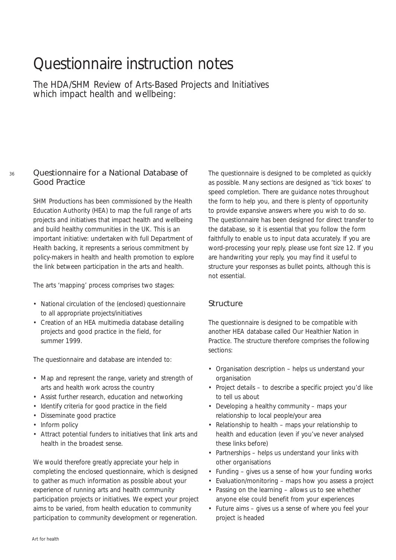## Questionnaire instruction notes

*The HDA/SHM Review of Arts-Based Projects and Initiatives which impact health and wellbeing:*

### Questionnaire for a National Database of Good Practice

SHM Productions has been commissioned by the Health Education Authority (HEA) to map the full range of arts projects and initiatives that impact health and wellbeing and build healthy communities in the UK. This is an important initiative: undertaken with full Department of Health backing, it represents a serious commitment by policy-makers in health and health promotion to explore the link between participation in the arts and health.

The arts 'mapping' process comprises two stages:

- National circulation of the (enclosed) questionnaire to all appropriate projects/initiatives
- Creation of an HEA multimedia database detailing projects and good practice in the field, for summer 1999.

The questionnaire and database are intended to:

- Map and represent the range, variety and strength of arts and health work across the country
- Assist further research, education and networking
- Identify criteria for good practice in the field
- Disseminate good practice
- Inform policy
- Attract potential funders to initiatives that link arts and health in the broadest sense.

We would therefore greatly appreciate your help in completing the enclosed questionnaire, which is designed to gather as much information as possible about your experience of running arts and health community participation projects or initiatives. We expect your project aims to be varied, from health education to community participation to community development or regeneration.

The questionnaire is designed to be completed as quickly as possible. Many sections are designed as 'tick boxes' to speed completion. There are guidance notes throughout the form to help you, and there is plenty of opportunity to provide expansive answers where you wish to do so. The questionnaire has been designed for direct transfer to the database, so it is essential that you follow the form faithfully to enable us to input data accurately. If you are word-processing your reply, please use font size 12. If you are handwriting your reply, you may find it useful to structure your responses as bullet points, although this is not essential.

### Structure

The questionnaire is designed to be compatible with another HEA database called *Our Healthier Nation in Practice*. The structure therefore comprises the following sections:

- Organisation description helps us understand your organisation
- Project details to describe a specific project you'd like to tell us about
- Developing a healthy community maps your relationship to local people/your area
- Relationship to health maps your relationship to health and education (even if you've never analysed these links before)
- Partnerships helps us understand your links with other organisations
- Funding gives us a sense of how your funding works
- Evaluation/monitoring maps how you assess a project
- Passing on the learning allows us to see whether anyone else could benefit from your experiences
- Future aims gives us a sense of where you feel your project is headed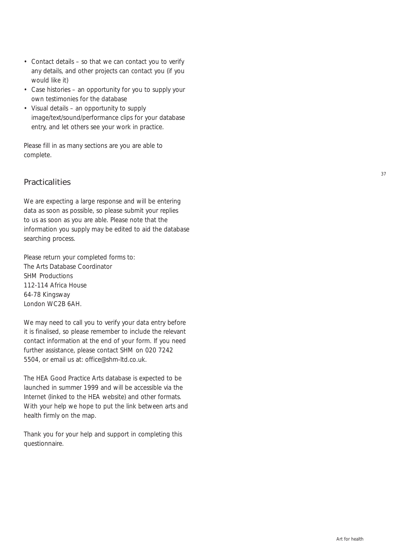- Contact details so that we can contact you to verify any details, and other projects can contact you (if you would like it)
- Case histories an opportunity for you to supply your own testimonies for the database
- Visual details an opportunity to supply image/text/sound/performance clips for your database entry, and let others see your work in practice.

Please fill in as many sections are you are able to complete.

### **Practicalities**

We are expecting a large response and will be entering data as soon as possible, so please submit your replies to us as soon as you are able. Please note that the information you supply may be edited to aid the database searching process.

Please return your completed forms to: The Arts Database Coordinator SHM Productions 112-114 Africa House 64-78 Kingsway London WC2B 6AH.

We may need to call you to verify your data entry before it is finalised, so please remember to include the relevant contact information at the end of your form. If you need further assistance, please contact SHM on 020 7242 5504, or email us at: office@shm-ltd.co.uk.

The HEA *Good Practice Arts* database is expected to be launched in summer 1999 and will be accessible via the Internet (linked to the HEA website) and other formats. With your help we hope to put the link between arts and health firmly on the map.

Thank you for your help and support in completing this questionnaire.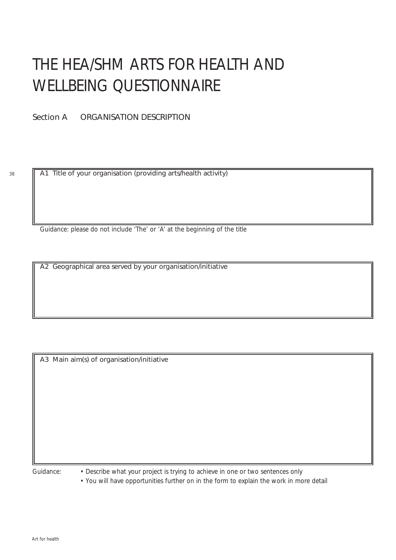# THE HEA/SHM ARTS FOR HEALTH AND WELLBEING QUESTIONNAIRE

Section A ORGANISATION DESCRIPTION

A1 Title of your organisation (providing arts/health activity)

*Guidance: please do not include 'The' or 'A' at the beginning of the title*

A2 Geographical area served by your organisation/initiative

A3 Main aim(s) of organisation/initiative

*Guidance: • Describe what your project is trying to achieve in one or two sentences only*

*• You will have opportunities further on in the form to explain the work in more detail*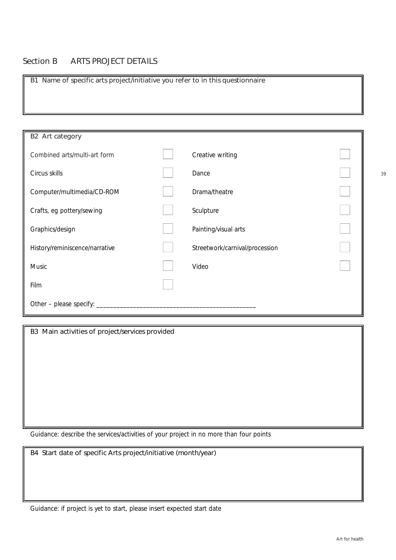### Section B ARTS PROJECT DETAILS

B1 Name of specific arts project/initiative you refer to in this questionnaire

| B2 Art category                |                                |  |
|--------------------------------|--------------------------------|--|
| Combined arts/multi-art form   | Creative writing               |  |
| Circus skills                  | Dance                          |  |
| Computer/multimedia/CD-ROM     | Drama/theatre                  |  |
| Crafts, eg pottery/sewing      | Sculpture                      |  |
| Graphics/design                | Painting/visual arts           |  |
| History/reminiscence/narrative | Streetwork/carnival/procession |  |
| Music                          | Video                          |  |
| Film                           |                                |  |
| Other – please specify:        |                                |  |

B3 Main activities of project/services provided

*Guidance: describe the services/activities of your project in no more than four points*

B4 Start date of specific Arts project/initiative (month/year)

*Guidance: if project is yet to start, please insert expected start date*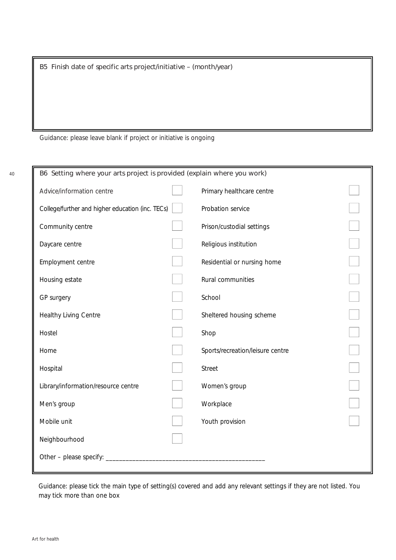B5 Finish date of specific arts project/initiative – (month/year)

*Guidance: please leave blank if project or initiative is ongoing*

| B6 Setting where your arts project is provided (explain where you work) |  |                                  |  |  |
|-------------------------------------------------------------------------|--|----------------------------------|--|--|
| Advice/information centre                                               |  | Primary healthcare centre        |  |  |
| College/further and higher education (inc. TECs)                        |  | Probation service                |  |  |
| Community centre                                                        |  | Prison/custodial settings        |  |  |
| Daycare centre                                                          |  | Religious institution            |  |  |
| Employment centre                                                       |  | Residential or nursing home      |  |  |
| Housing estate                                                          |  | Rural communities                |  |  |
| GP surgery                                                              |  | School                           |  |  |
| Healthy Living Centre                                                   |  | Sheltered housing scheme         |  |  |
| Hostel                                                                  |  | Shop                             |  |  |
| Home                                                                    |  | Sports/recreation/leisure centre |  |  |
| Hospital                                                                |  | <b>Street</b>                    |  |  |
| Library/information/resource centre                                     |  | Women's group                    |  |  |
| Men's group                                                             |  | Workplace                        |  |  |
| Mobile unit                                                             |  | Youth provision                  |  |  |
| Neighbourhood                                                           |  |                                  |  |  |
| Other - please specify:                                                 |  |                                  |  |  |
|                                                                         |  |                                  |  |  |

*Guidance: please tick the main type of setting(s) covered and add any relevant settings if they are not listed. You may tick more than one box*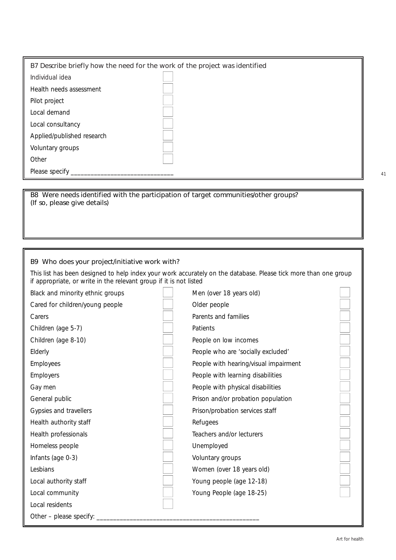| B7 Describe briefly how the need for the work of the project was identified |  |  |  |  |
|-----------------------------------------------------------------------------|--|--|--|--|
| Individual idea                                                             |  |  |  |  |
| Health needs assessment                                                     |  |  |  |  |
| Pilot project                                                               |  |  |  |  |
| Local demand                                                                |  |  |  |  |
| Local consultancy                                                           |  |  |  |  |
| Applied/published research                                                  |  |  |  |  |
| Voluntary groups                                                            |  |  |  |  |
| Other                                                                       |  |  |  |  |
| Please specify                                                              |  |  |  |  |

B8 Were needs identified with the participation of target communities/other groups? (If so, please give details)

#### B9 Who does your project/initiative work with?

This list has been designed to help index your work accurately on the database. Please tick more than one group if appropriate, or write in the relevant group if it is not listed

| Black and minority ethnic groups | Men (over 18 years old)               |  |
|----------------------------------|---------------------------------------|--|
| Cared for children/young people  | Older people                          |  |
| Carers                           | Parents and families                  |  |
| Children (age 5-7)               | Patients                              |  |
| Children (age 8-10)              | People on low incomes                 |  |
| Elderly                          | People who are 'socially excluded'    |  |
| <b>Employees</b>                 | People with hearing/visual impairment |  |
| <b>Employers</b>                 | People with learning disabilities     |  |
| Gay men                          | People with physical disabilities     |  |
| General public                   | Prison and/or probation population    |  |
| Gypsies and travellers           | Prison/probation services staff       |  |
| Health authority staff           | Refugees                              |  |
| Health professionals             | Teachers and/or lecturers             |  |
| Homeless people                  | Unemployed                            |  |
| Infants (age 0-3)                | Voluntary groups                      |  |
| Lesbians                         | Women (over 18 years old)             |  |
| Local authority staff            | Young people (age 12-18)              |  |
| Local community                  | Young People (age 18-25)              |  |
| Local residents                  |                                       |  |
| Other – please specify:          |                                       |  |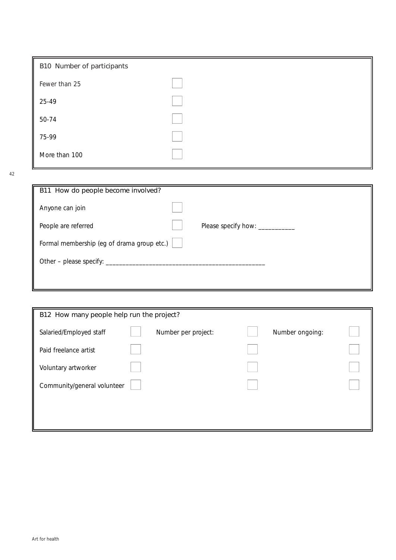| B10 Number of participants |  |
|----------------------------|--|
| Fewer than 25              |  |
| 25-49                      |  |
| 50-74                      |  |
| 75-99                      |  |
| More than 100              |  |

| B11 How do people become involved?         |                                  |
|--------------------------------------------|----------------------------------|
| Anyone can join                            |                                  |
| People are referred                        | Please specify how: ____________ |
| Formal membership (eg of drama group etc.) |                                  |
| Other - please specify: _____              |                                  |
|                                            |                                  |

| B12 How many people help run the project? |  |                     |  |                 |  |  |
|-------------------------------------------|--|---------------------|--|-----------------|--|--|
| Salaried/Employed staff                   |  | Number per project: |  | Number ongoing: |  |  |
| Paid freelance artist                     |  |                     |  |                 |  |  |
| Voluntary artworker                       |  |                     |  |                 |  |  |
| Community/general volunteer               |  |                     |  |                 |  |  |
|                                           |  |                     |  |                 |  |  |
|                                           |  |                     |  |                 |  |  |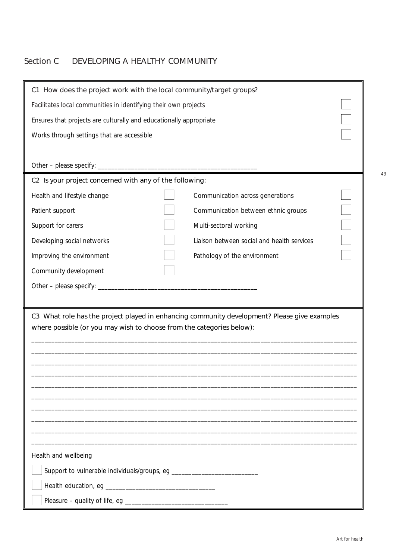## Section C DEVELOPING A HEALTHY COMMUNITY

| C1 How does the project work with the local community/target groups?  |                                                                 |                                                                                              |  |  |
|-----------------------------------------------------------------------|-----------------------------------------------------------------|----------------------------------------------------------------------------------------------|--|--|
|                                                                       | Facilitates local communities in identifying their own projects |                                                                                              |  |  |
| Ensures that projects are culturally and educationally appropriate    |                                                                 |                                                                                              |  |  |
| Works through settings that are accessible                            |                                                                 |                                                                                              |  |  |
|                                                                       |                                                                 |                                                                                              |  |  |
|                                                                       |                                                                 |                                                                                              |  |  |
| C2 Is your project concerned with any of the following:               |                                                                 |                                                                                              |  |  |
| Health and lifestyle change                                           |                                                                 | Communication across generations                                                             |  |  |
| Patient support                                                       |                                                                 | Communication between ethnic groups                                                          |  |  |
| Support for carers                                                    |                                                                 | Multi-sectoral working                                                                       |  |  |
| Developing social networks                                            |                                                                 | Liaison between social and health services                                                   |  |  |
| Improving the environment                                             |                                                                 | Pathology of the environment                                                                 |  |  |
| Community development                                                 |                                                                 |                                                                                              |  |  |
| Other - please specify: _________                                     |                                                                 |                                                                                              |  |  |
|                                                                       |                                                                 |                                                                                              |  |  |
|                                                                       |                                                                 | C3 What role has the project played in enhancing community development? Please give examples |  |  |
| where possible (or you may wish to choose from the categories below): |                                                                 |                                                                                              |  |  |
|                                                                       |                                                                 |                                                                                              |  |  |
|                                                                       |                                                                 |                                                                                              |  |  |
|                                                                       |                                                                 |                                                                                              |  |  |
|                                                                       |                                                                 |                                                                                              |  |  |
|                                                                       |                                                                 |                                                                                              |  |  |
|                                                                       |                                                                 |                                                                                              |  |  |
|                                                                       |                                                                 |                                                                                              |  |  |
| Health and wellbeing                                                  |                                                                 |                                                                                              |  |  |
|                                                                       |                                                                 |                                                                                              |  |  |
|                                                                       |                                                                 |                                                                                              |  |  |
|                                                                       |                                                                 |                                                                                              |  |  |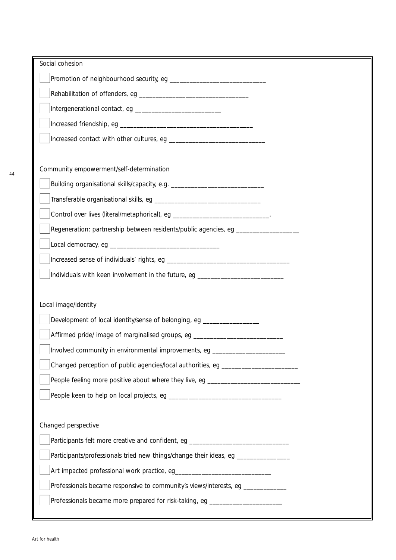| Social cohesion                                                                  |  |
|----------------------------------------------------------------------------------|--|
|                                                                                  |  |
|                                                                                  |  |
|                                                                                  |  |
|                                                                                  |  |
|                                                                                  |  |
|                                                                                  |  |
| Community empowerment/self-determination                                         |  |
|                                                                                  |  |
|                                                                                  |  |
| Control over lives (literal/metaphorical), eg _________________________________. |  |
| Regeneration: partnership between residents/public agencies, eg ________________ |  |
|                                                                                  |  |
|                                                                                  |  |
| Individuals with keen involvement in the future, eg ____________________________ |  |
|                                                                                  |  |
| Local image/identity                                                             |  |
| Development of local identity/sense of belonging, eg ________________            |  |
| Affirmed pride/ image of marginalised groups, eg _______________________________ |  |
| Involved community in environmental improvements, eq                             |  |
| Changed perception of public agencies/local authorities, eg ____________________ |  |
| People feeling more positive about where they live, eg _________________________ |  |
|                                                                                  |  |
|                                                                                  |  |
| Changed perspective                                                              |  |
| Participants felt more creative and confident, eg ______________________________ |  |
| Participants/professionals tried new things/change their ideas, eg _____________ |  |
|                                                                                  |  |
| Professionals became responsive to community's views/interests, eg _____________ |  |
| Professionals became more prepared for risk-taking, eg _________________________ |  |
|                                                                                  |  |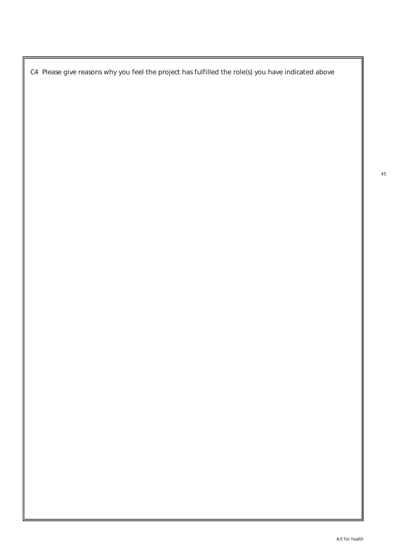C4 Please give reasons why you feel the project has fulfilled the role(s) you have indicated above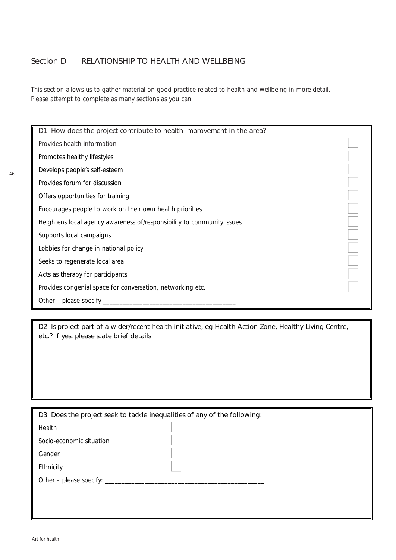### Section D RELATIONSHIP TO HEALTH AND WELLBEING

This section allows us to gather material on good practice related to health and wellbeing in more detail. Please attempt to complete as many sections as you can

D1 How does the project contribute to health improvement in the area? Provides health information Promotes healthy lifestyles Develops people's self-esteem Provides forum for discussion Offers opportunities for training Encourages people to work on their own health priorities Heightens local agency awareness of/responsibility to community issues Supports local campaigns Lobbies for change in national policy Seeks to regenerate local area Acts as therapy for participants Provides congenial space for conversation, networking etc. Other – please specify

D2 Is project part of a wider/recent health initiative, eg Health Action Zone, Healthy Living Centre, etc.? If yes, please state brief details

| D3 Does the project seek to tackle inequalities of any of the following: |  |  |  |  |
|--------------------------------------------------------------------------|--|--|--|--|
|                                                                          |  |  |  |  |
|                                                                          |  |  |  |  |
|                                                                          |  |  |  |  |
|                                                                          |  |  |  |  |
|                                                                          |  |  |  |  |
|                                                                          |  |  |  |  |
|                                                                          |  |  |  |  |
|                                                                          |  |  |  |  |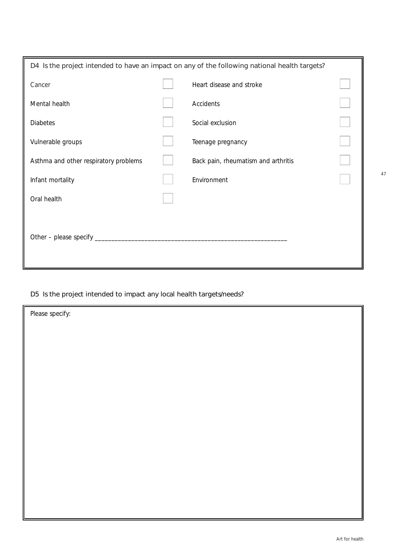| D4 Is the project intended to have an impact on any of the following national health targets? |  |                                     |  |  |
|-----------------------------------------------------------------------------------------------|--|-------------------------------------|--|--|
| Cancer                                                                                        |  | Heart disease and stroke            |  |  |
| Mental health                                                                                 |  | Accidents                           |  |  |
| <b>Diabetes</b>                                                                               |  | Social exclusion                    |  |  |
| Vulnerable groups                                                                             |  | Teenage pregnancy                   |  |  |
| Asthma and other respiratory problems                                                         |  | Back pain, rheumatism and arthritis |  |  |
| Infant mortality                                                                              |  | Environment                         |  |  |
| Oral health                                                                                   |  |                                     |  |  |
|                                                                                               |  |                                     |  |  |
| Other – please specify $\_$                                                                   |  |                                     |  |  |
|                                                                                               |  |                                     |  |  |

## D5 Is the project intended to impact any local health targets/needs?

| Please specify: |  |
|-----------------|--|
|                 |  |
|                 |  |
|                 |  |
|                 |  |
|                 |  |
|                 |  |
|                 |  |
|                 |  |
|                 |  |
|                 |  |
|                 |  |
|                 |  |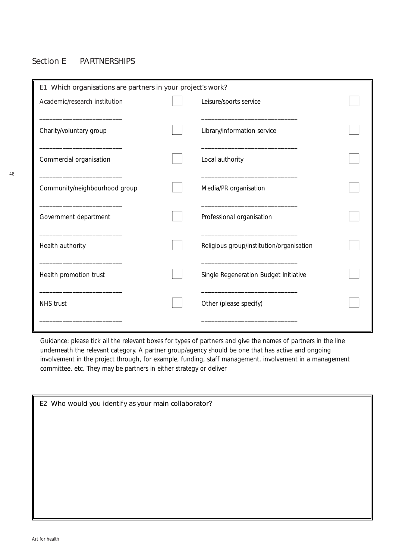### Section E PARTNERSHIPS

| E1 Which organisations are partners in your project's work? |  |                                          |  |
|-------------------------------------------------------------|--|------------------------------------------|--|
| Academic/research institution                               |  | Leisure/sports service                   |  |
|                                                             |  |                                          |  |
| Charity/voluntary group                                     |  | Library/information service              |  |
|                                                             |  |                                          |  |
| Commercial organisation                                     |  | Local authority                          |  |
|                                                             |  |                                          |  |
| Community/neighbourhood group                               |  | Media/PR organisation                    |  |
|                                                             |  |                                          |  |
| Government department                                       |  | Professional organisation                |  |
| Health authority                                            |  | Religious group/institution/organisation |  |
|                                                             |  |                                          |  |
| Health promotion trust                                      |  | Single Regeneration Budget Initiative    |  |
|                                                             |  |                                          |  |
| <b>NHS</b> trust                                            |  | Other (please specify)                   |  |
|                                                             |  |                                          |  |

*Guidance: please tick all the relevant boxes for types of partners and give the names of partners in the line underneath the relevant category. A partner group/agency should be one that has active and ongoing involvement in the project through, for example, funding, staff management, involvement in a management committee, etc. They may be partners in either strategy or deliver*

| E2 Who would you identify as your main collaborator? |  |  |
|------------------------------------------------------|--|--|
|                                                      |  |  |
|                                                      |  |  |
|                                                      |  |  |
|                                                      |  |  |
|                                                      |  |  |
|                                                      |  |  |
|                                                      |  |  |
|                                                      |  |  |
|                                                      |  |  |
|                                                      |  |  |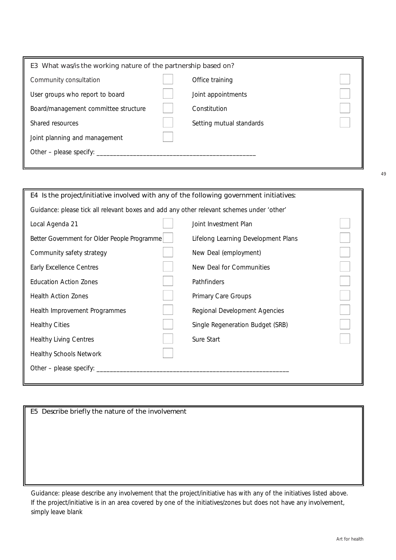| E3 What was/is the working nature of the partnership based on? |  |                          |  |
|----------------------------------------------------------------|--|--------------------------|--|
| Community consultation                                         |  | Office training          |  |
| User groups who report to board                                |  | Joint appointments       |  |
| Board/management committee structure                           |  | Constitution             |  |
| Shared resources                                               |  | Setting mutual standards |  |
| Joint planning and management                                  |  |                          |  |
| Other – please specify: $\overline{\phantom{a}}$               |  |                          |  |
|                                                                |  |                          |  |

| E4 Is the project/initiative involved with any of the following government initiatives:   |                                     |  |  |
|-------------------------------------------------------------------------------------------|-------------------------------------|--|--|
| Guidance: please tick all relevant boxes and add any other relevant schemes under 'other' |                                     |  |  |
| Local Agenda 21                                                                           | Joint Investment Plan               |  |  |
| Better Government for Older People Programme                                              | Lifelong Learning Development Plans |  |  |
| Community safety strategy                                                                 | New Deal (employment)               |  |  |
| <b>Early Excellence Centres</b>                                                           | New Deal for Communities            |  |  |
| <b>Education Action Zones</b>                                                             | Pathfinders                         |  |  |
| <b>Health Action Zones</b>                                                                | Primary Care Groups                 |  |  |
| Health Improvement Programmes                                                             | Regional Development Agencies       |  |  |
| <b>Healthy Cities</b>                                                                     | Single Regeneration Budget (SRB)    |  |  |
| <b>Healthy Living Centres</b>                                                             | Sure Start                          |  |  |
| <b>Healthy Schools Network</b>                                                            |                                     |  |  |
| Other – please specify:                                                                   |                                     |  |  |
|                                                                                           |                                     |  |  |

*Guidance: please describe any involvement that the project/initiative has with any of the initiatives listed above. If the project/initiative is in an area covered by one of the initiatives/zones but does not have any involvement, simply leave blank*

Art for health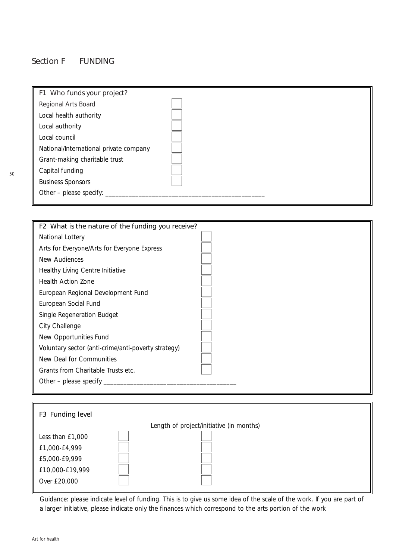### Section F FUNDING

| F1 Who funds your project?             |  |
|----------------------------------------|--|
| Regional Arts Board                    |  |
| Local health authority                 |  |
| Local authority                        |  |
| Local council                          |  |
| National/International private company |  |
| Grant-making charitable trust          |  |
| Capital funding                        |  |
| <b>Business Sponsors</b>               |  |
| Other - please specify:                |  |
|                                        |  |

| F2 What is the nature of the funding you receive?   |  |
|-----------------------------------------------------|--|
| National Lottery                                    |  |
| Arts for Everyone/Arts for Everyone Express         |  |
| New Audiences                                       |  |
| Healthy Living Centre Initiative                    |  |
| <b>Health Action Zone</b>                           |  |
| European Regional Development Fund                  |  |
| European Social Fund                                |  |
| Single Regeneration Budget                          |  |
| City Challenge                                      |  |
| New Opportunities Fund                              |  |
| Voluntary sector (anti-crime/anti-poverty strategy) |  |
| New Deal for Communities                            |  |
| Grants from Charitable Trusts etc.                  |  |
| Other – please specify $\overline{\phantom{a}}$     |  |
|                                                     |  |



*Guidance: please indicate level of funding. This is to give us some idea of the scale of the work. If you are part of a larger initiative, please indicate only the finances which correspond to the arts portion of the work*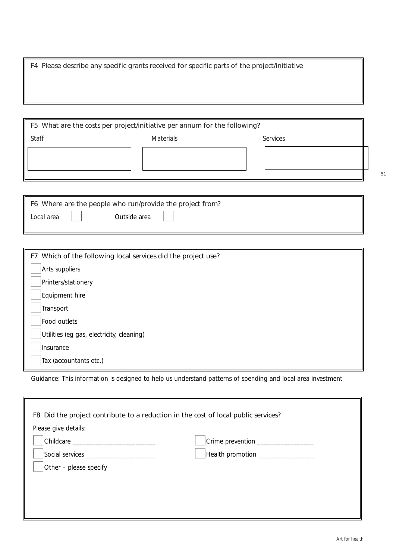F4 Please describe any specific grants received for specific parts of the project/initiative

| F5 What are the costs per project/initiative per annum for the following? |                  |                 |  |
|---------------------------------------------------------------------------|------------------|-----------------|--|
| Staff                                                                     | <b>Materials</b> | <b>Services</b> |  |
|                                                                           |                  |                 |  |
|                                                                           |                  |                 |  |
|                                                                           |                  |                 |  |

| F6 Where are the people who run/provide the project from? |              |  |  |  |
|-----------------------------------------------------------|--------------|--|--|--|
| Local area                                                | Outside area |  |  |  |

| F7 Which of the following local services did the project use? |  |  |
|---------------------------------------------------------------|--|--|
| Arts suppliers                                                |  |  |
| Printers/stationery                                           |  |  |
| Equipment hire                                                |  |  |
| Transport                                                     |  |  |
| Food outlets                                                  |  |  |
| Utilities (eg gas, electricity, cleaning)                     |  |  |
| Insurance                                                     |  |  |
| Tax (accountants etc.)                                        |  |  |

*Guidance: This information is designed to help us understand patterns of spending and local area investment*

| F8 Did the project contribute to a reduction in the cost of local public services? |                               |  |  |
|------------------------------------------------------------------------------------|-------------------------------|--|--|
| Please give details:                                                               |                               |  |  |
|                                                                                    | Crime prevention ____________ |  |  |
| Social services _________________________                                          | Health promotion __________   |  |  |
| Other - please specify                                                             |                               |  |  |
|                                                                                    |                               |  |  |
|                                                                                    |                               |  |  |
|                                                                                    |                               |  |  |
|                                                                                    |                               |  |  |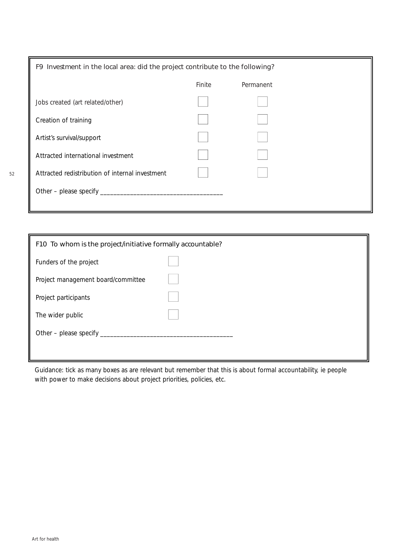| F9 Investment in the local area: did the project contribute to the following? |        |           |  |
|-------------------------------------------------------------------------------|--------|-----------|--|
|                                                                               | Finite | Permanent |  |
| Jobs created (art related/other)                                              |        |           |  |
| Creation of training                                                          |        |           |  |
| Artist's survival/support                                                     |        |           |  |
| Attracted international investment                                            |        |           |  |
| Attracted redistribution of internal investment                               |        |           |  |
| Other - please specify _                                                      |        |           |  |
|                                                                               |        |           |  |

| F10 To whom is the project/initiative formally accountable? |  |  |  |
|-------------------------------------------------------------|--|--|--|
| Funders of the project                                      |  |  |  |
| Project management board/committee                          |  |  |  |
| Project participants                                        |  |  |  |
| The wider public                                            |  |  |  |
| Other – please specify $\overline{\phantom{a}}$             |  |  |  |
|                                                             |  |  |  |

*Guidance: tick as many boxes as are relevant but remember that this is about formal accountability, ie people with power to make decisions about project priorities, policies, etc.*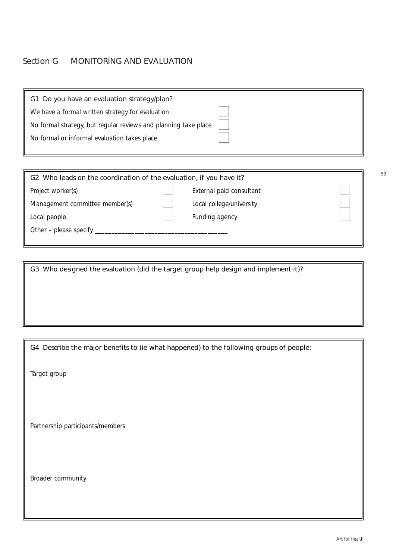#### Section G MONITORING AND EVALUATION

| G1 Do you have an evaluation strategy/plan?                     |  |
|-----------------------------------------------------------------|--|
| We have a formal written strategy for evaluation                |  |
| No formal strategy, but regular reviews and planning take place |  |
| No formal or informal evaluation takes place                    |  |
|                                                                 |  |

G2 Who leads on the coordination of the evaluation, if you have it?

Project worker(s) **A** External paid consultant

Management committee member(s)  $\vert$  | Local college/university

Local people **A** Funding agency **A** Funding agency

Other – please specify \_\_\_\_\_\_\_\_\_\_\_\_\_\_\_\_\_\_\_\_\_\_\_\_\_\_\_\_\_\_\_\_\_\_\_\_\_\_\_\_

G3 Who designed the evaluation (did the target group help design and implement it)?

G4 Describe the major benefits to (ie what happened) to the following groups of people:

Target group

Partnership participants/members

Broader community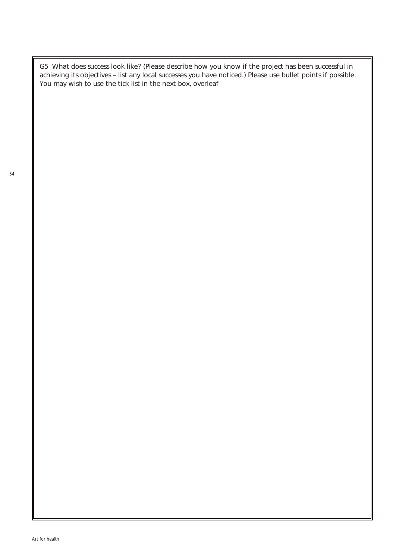G5 What does success look like? (Please describe how you know if the project has been successful in achieving its objectives – list any local successes you have noticed.) Please use bullet points if possible. You may wish to use the tick list in the next box, overleaf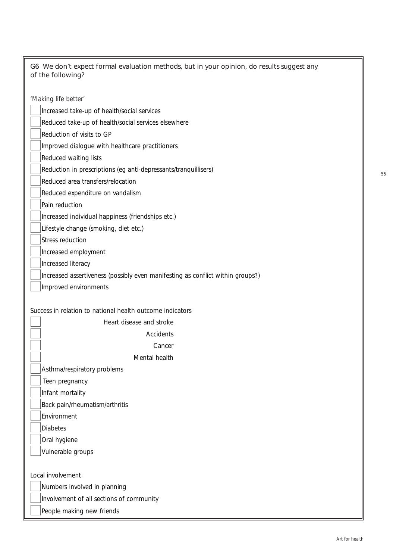| 'Making life better'                                                           |
|--------------------------------------------------------------------------------|
| Increased take-up of health/social services                                    |
| Reduced take-up of health/social services elsewhere                            |
| Reduction of visits to GP                                                      |
| Improved dialogue with healthcare practitioners                                |
| Reduced waiting lists                                                          |
| Reduction in prescriptions (eg anti-depressants/tranquillisers)                |
| Reduced area transfers/relocation                                              |
| Reduced expenditure on vandalism                                               |
| Pain reduction                                                                 |
| Increased individual happiness (friendships etc.)                              |
| Lifestyle change (smoking, diet etc.)                                          |
| <b>Stress reduction</b>                                                        |
| Increased employment                                                           |
| Increased literacy                                                             |
| Increased assertiveness (possibly even manifesting as conflict within groups?) |
| Improved environments                                                          |
|                                                                                |
| Success in relation to national health outcome indicators                      |
| Heart disease and stroke                                                       |
| Accidents                                                                      |
| Cancer                                                                         |
| Mental health                                                                  |
| Asthma/respiratory problems                                                    |
| Teen pregnancy                                                                 |
| Infant mortality                                                               |
| Back pain/rheumatism/arthritis                                                 |
| Environment                                                                    |
| <b>Diabetes</b>                                                                |
| Oral hygiene                                                                   |
| Vulnerable groups                                                              |
|                                                                                |
| Local involvement                                                              |
| Numbers involved in planning                                                   |
| Involvement of all sections of community                                       |
| People making new friends                                                      |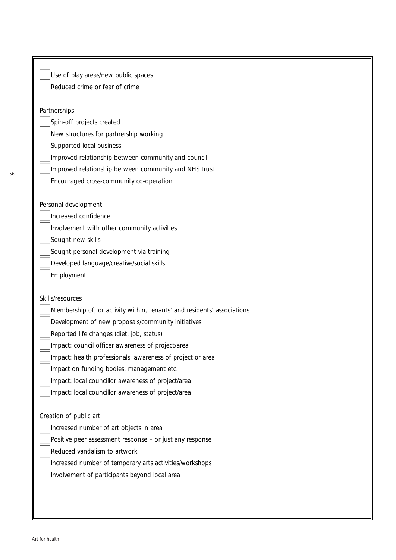| Use of play areas/new public spaces                                     |  |
|-------------------------------------------------------------------------|--|
| Reduced crime or fear of crime                                          |  |
|                                                                         |  |
| Partnerships                                                            |  |
| Spin-off projects created                                               |  |
| New structures for partnership working                                  |  |
| Supported local business                                                |  |
| Improved relationship between community and council                     |  |
| Improved relationship between community and NHS trust                   |  |
| Encouraged cross-community co-operation                                 |  |
| Personal development                                                    |  |
| Increased confidence                                                    |  |
| Involvement with other community activities                             |  |
| Sought new skills                                                       |  |
| Sought personal development via training                                |  |
| Developed language/creative/social skills                               |  |
| Employment                                                              |  |
|                                                                         |  |
| Skills/resources                                                        |  |
| Membership of, or activity within, tenants' and residents' associations |  |
| Development of new proposals/community initiatives                      |  |
| Reported life changes (diet, job, status)                               |  |
| Impact: council officer awareness of project/area                       |  |
| Impact: health professionals' awareness of project or area              |  |
| Impact on funding bodies, management etc.                               |  |
| Impact: local councillor awareness of project/area                      |  |
| Impact: local councillor awareness of project/area                      |  |
|                                                                         |  |
| Creation of public art                                                  |  |
| Increased number of art objects in area                                 |  |
| Positive peer assessment response - or just any response                |  |
| Reduced vandalism to artwork                                            |  |
| Increased number of temporary arts activities/workshops                 |  |
| Involvement of participants beyond local area                           |  |
|                                                                         |  |
|                                                                         |  |
|                                                                         |  |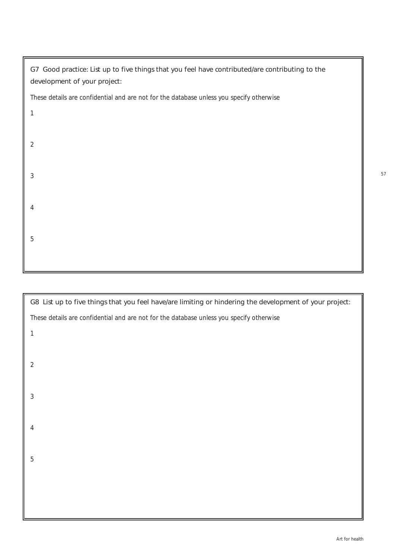| G7 Good practice: List up to five things that you feel have contributed/are contributing to the<br>development of your project: |
|---------------------------------------------------------------------------------------------------------------------------------|
| These details are confidential and are not for the database unless you specify otherwise                                        |
| 1                                                                                                                               |
| $\overline{2}$                                                                                                                  |
| 3                                                                                                                               |
| 4                                                                                                                               |
| 5                                                                                                                               |
|                                                                                                                                 |

G8 List up to five things that you feel have/are limiting or hindering the development of your project: *These details are confidential and are not for the database unless you specify otherwise*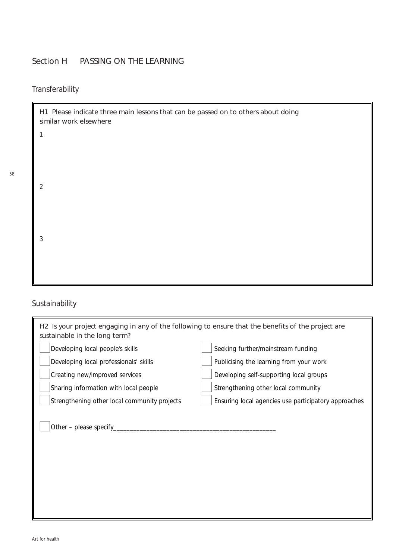## Section H PASSING ON THE LEARNING

## *Transferability*

1

2

3

H1 Please indicate three main lessons that can be passed on to others about doing similar work elsewhere

58

## *Sustainability*

| H2 Is your project engaging in any of the following to ensure that the benefits of the project are<br>sustainable in the long term? |                                                      |
|-------------------------------------------------------------------------------------------------------------------------------------|------------------------------------------------------|
| Developing local people's skills                                                                                                    | Seeking further/mainstream funding                   |
| Developing local professionals' skills                                                                                              | Publicising the learning from your work              |
| Creating new/improved services                                                                                                      | Developing self-supporting local groups              |
| Sharing information with local people                                                                                               | Strengthening other local community                  |
| Strengthening other local community projects                                                                                        | Ensuring local agencies use participatory approaches |
| Other - please specify_                                                                                                             |                                                      |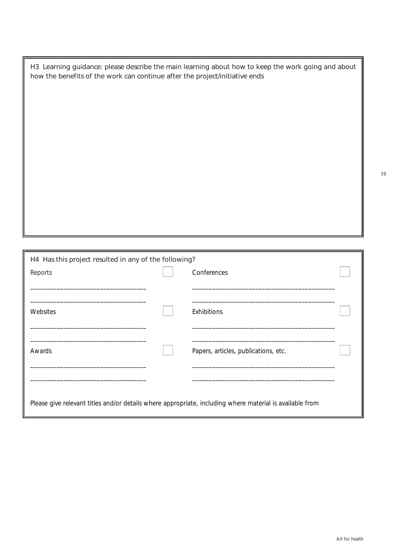H3 Learning guidance: please describe the main learning about how to keep the work going and about how the benefits of the work can continue after the project/initiative ends

| H4 Has this project resulted in any of the following?                                                    |  |                                      |  |
|----------------------------------------------------------------------------------------------------------|--|--------------------------------------|--|
| Reports                                                                                                  |  | Conferences                          |  |
|                                                                                                          |  |                                      |  |
| Websites                                                                                                 |  | Exhibitions                          |  |
| Awards                                                                                                   |  | Papers, articles, publications, etc. |  |
|                                                                                                          |  |                                      |  |
| Please give relevant titles and/or details where appropriate, including where material is available from |  |                                      |  |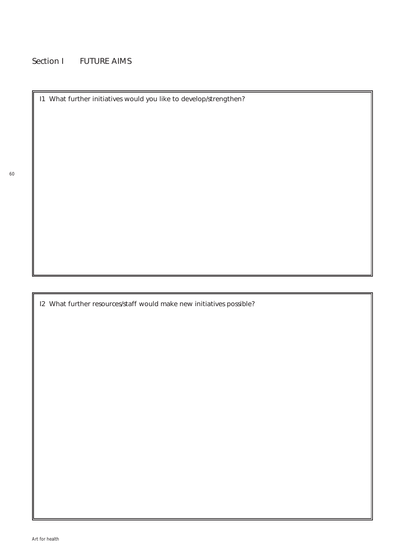## Section I FUTURE AIMS

I1 What further initiatives would you like to develop/strengthen?

I2 What further resources/staff would make new initiatives possible?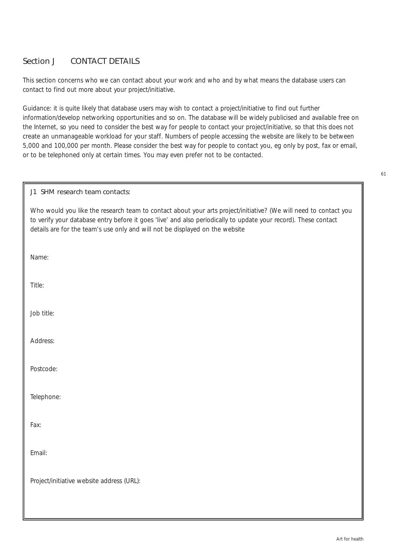### Section J CONTACT DETAILS

This section concerns who we can contact about your work and who and by what means the database users can contact to find out more about your project/initiative.

*Guidance: it is quite likely that database users may wish to contact a project/initiative to find out further information/develop networking opportunities and so on. The database will be widely publicised and available free on the Internet, so you need to consider the best way for people to contact your project/initiative, so that this does not create an unmanageable workload for your staff. Numbers of people accessing the website are likely to be between 5,000 and 100,000 per month. Please consider the best way for people to contact you, eg only by post, fax or email, or to be telephoned only at certain times. You may even prefer not to be contacted.*

#### J1 SHM research team contacts:

Who would you like the research team to contact about your arts project/initiative? (We will need to contact you to verify your database entry before it goes 'live' and also periodically to update your record). These contact details are for the team's use only and will not be displayed on the website

Name:

Title:

Job title:

Address:

Postcode:

Telephone:

Fax:

Email:

Project/initiative website address (URL):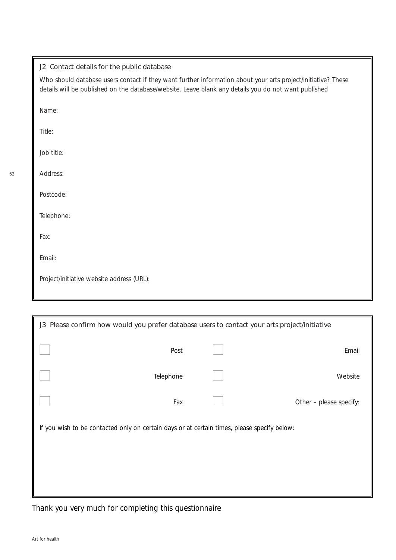| J2 Contact details for the public database                                                                                                                                                                           |
|----------------------------------------------------------------------------------------------------------------------------------------------------------------------------------------------------------------------|
| Who should database users contact if they want further information about your arts project/initiative? These<br>details will be published on the database/website. Leave blank any details you do not want published |
| Name:                                                                                                                                                                                                                |
| Title:                                                                                                                                                                                                               |
| Job title:                                                                                                                                                                                                           |
| Address:                                                                                                                                                                                                             |
| Postcode:                                                                                                                                                                                                            |
| Telephone:                                                                                                                                                                                                           |
| Fax:                                                                                                                                                                                                                 |
| Email:                                                                                                                                                                                                               |
| Project/initiative website address (URL):                                                                                                                                                                            |
|                                                                                                                                                                                                                      |

| J3 Please confirm how would you prefer database users to contact your arts project/initiative |  |  |                         |
|-----------------------------------------------------------------------------------------------|--|--|-------------------------|
| Post                                                                                          |  |  | Email                   |
| Telephone                                                                                     |  |  | Website                 |
| Fax                                                                                           |  |  | Other - please specify: |
| If you wish to be contacted only on certain days or at certain times, please specify below:   |  |  |                         |
|                                                                                               |  |  |                         |
|                                                                                               |  |  |                         |
|                                                                                               |  |  |                         |

*Thank you very much for completing this questionnaire*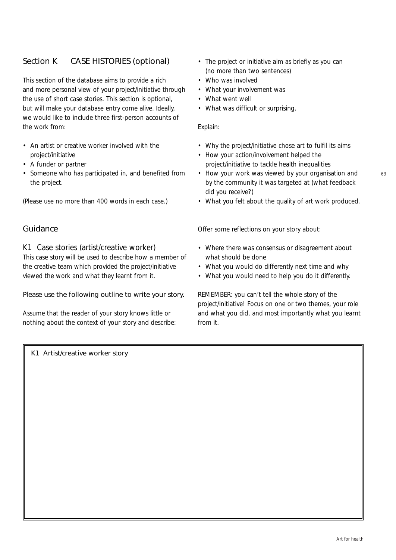## Section K CASE HISTORIES (optional)

This section of the database aims to provide a rich and more personal view of your project/initiative through the use of short case stories. This section is optional, but will make your database entry come alive. Ideally, we would like to include three first-person accounts of the work from:

- An artist or creative worker involved with the project/initiative
- A funder or partner
- Someone who has participated in, and benefited from the project.

(Please use no more than 400 words in each case.)

#### Guidance

*K1 Case stories (artist/creative worker)*

This case story will be used to describe how a member of the creative team which provided the project/initiative viewed the work and what they learnt from it.

#### Please use the following outline to write your story.

Assume that the reader of your story knows little or nothing about the context of your story and describe: • The project or initiative aim as briefly as you can (no more than two sentences)

- Who was involved
- What your involvement was
- What went well
- What was difficult or surprising.

#### Explain:

- Why the project/initiative chose art to fulfil its aims
- How your action/involvement helped the project/initiative to tackle health inequalities
- How your work was viewed by your organisation and by the community it was targeted at (what feedback did you receive?)
- What you felt about the quality of art work produced.

Offer some reflections on your story about:

- Where there was consensus or disagreement about what should be done
- What you would do differently next time and why
- What you would need to help you do it differently.

REMEMBER: you can't tell the whole story of the project/initiative! Focus on one or two themes, your role and what you did, and most importantly what you learnt from it.

K1 Artist/creative worker story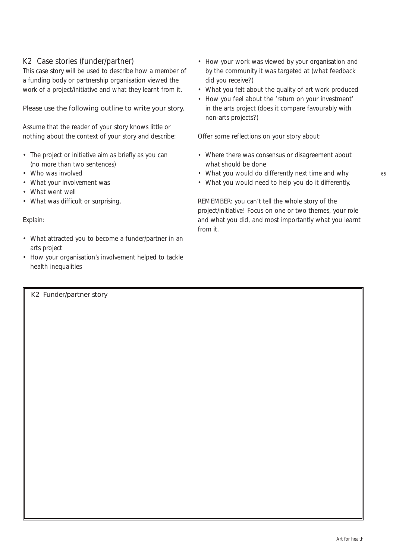### *K2 Case stories (funder/partner)*

This case story will be used to describe how a member of a funding body or partnership organisation viewed the work of a project/initiative and what they learnt from it.

#### Please use the following outline to write your story.

Assume that the reader of your story knows little or nothing about the context of your story and describe:

- The project or initiative aim as briefly as you can (no more than two sentences)
- Who was involved
- What your involvement was
- What went well
- What was difficult or surprising.

#### Explain:

- What attracted you to become a funder/partner in an arts project
- How your organisation's involvement helped to tackle health inequalities
- How your work was viewed by your organisation and by the community it was targeted at (what feedback did you receive?)
- What you felt about the quality of art work produced
- How you feel about the 'return on your investment' in the arts project (does it compare favourably with non-arts projects?)

Offer some reflections on your story about:

- Where there was consensus or disagreement about what should be done
- What you would do differently next time and why
- What you would need to help you do it differently.

REMEMBER: you can't tell the whole story of the project/initiative! Focus on one or two themes, your role and what you did, and most importantly what you learnt from it.

K2 Funder/partner story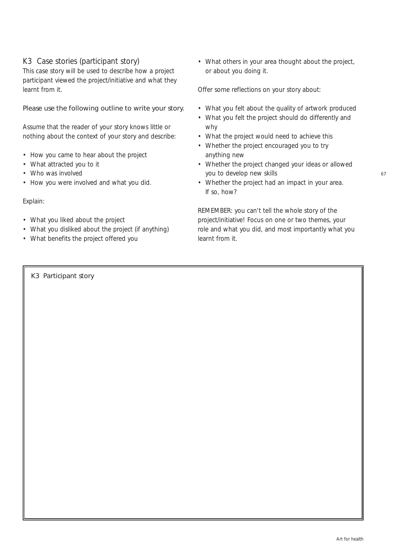### *K3 Case stories (participant story)*

This case story will be used to describe how a project participant viewed the project/initiative and what they learnt from it.

#### Please use the following outline to write your story.

Assume that the reader of your story knows little or nothing about the context of your story and describe:

- How you came to hear about the project
- What attracted you to it
- Who was involved
- How you were involved and what you did.

#### Explain:

- What you liked about the project
- What you disliked about the project (if anything)
- What benefits the project offered you

• What others in your area thought about the project, or about you doing it.

Offer some reflections on your story about:

- What you felt about the quality of artwork produced
- What you felt the project should do differently and why
- What the project would need to achieve this
- Whether the project encouraged you to try anything new
- Whether the project changed your ideas or allowed you to develop new skills
- Whether the project had an impact in your area. If so, how?

REMEMBER: you can't tell the whole story of the project/initiative! Focus on one or two themes, your role and what you did, and most importantly what you learnt from it.

K3 Participant story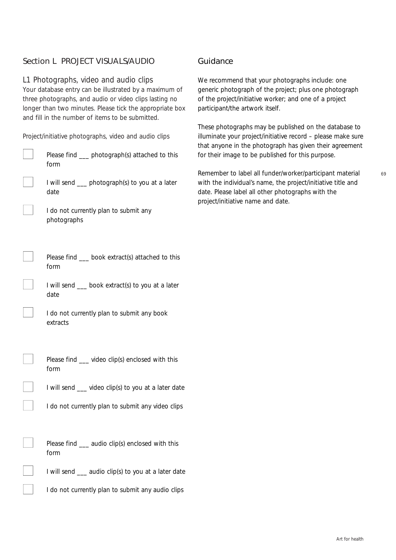## Section L PROJECT VISUALS/AUDIO

#### *L1 Photographs, video and audio clips*

Your database entry can be illustrated by a maximum of three photographs, and audio or video clips lasting no longer than two minutes. Please tick the appropriate box and fill in the number of items to be submitted.

Project/initiative photographs, video and audio clips Please find \_\_\_ photograph(s) attached to this form I will send \_\_\_ photograph(s) to you at a later date I do not currently plan to submit any photographs Please find \_\_ book extract(s) attached to this form I will send \_\_\_ book extract(s) to you at a later date I do not currently plan to submit any book extracts Please find \_\_\_ video clip(s) enclosed with this form I will send \_\_\_ video clip(s) to you at a later date I do not currently plan to submit any video clips Please find \_\_ audio clip(s) enclosed with this form I will send  $\frac{1}{2}$  audio clip(s) to you at a later date I do not currently plan to submit any audio clips

#### Guidance

We recommend that your photographs include: one generic photograph of the project; plus one photograph of the project/initiative worker; and one of a project participant/the artwork itself.

These photographs may be published on the database to illuminate your project/initiative record – please make sure that anyone in the photograph has given their agreement for their image to be published for this purpose.

Remember to label all funder/worker/participant material with the individual's name, the project/initiative title and date. Please label all other photographs with the project/initiative name and date.